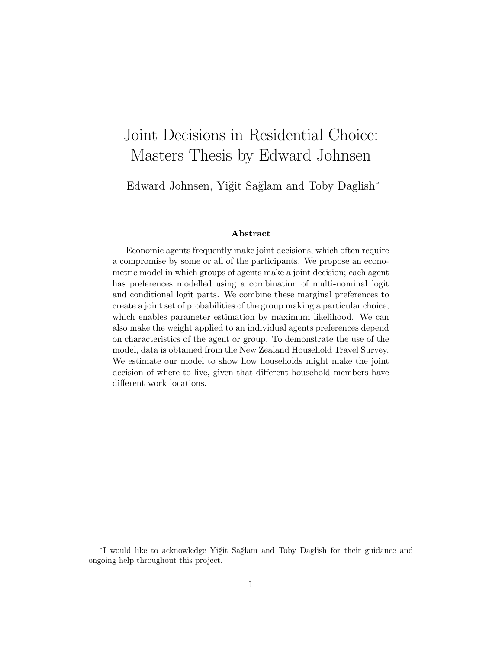# Joint Decisions in Residential Choice: Masters Thesis by Edward Johnsen

Edward Johnsen, Yiğit Sağlam and Toby Daglish<sup>∗</sup>

#### Abstract

Economic agents frequently make joint decisions, which often require a compromise by some or all of the participants. We propose an econometric model in which groups of agents make a joint decision; each agent has preferences modelled using a combination of multi-nominal logit and conditional logit parts. We combine these marginal preferences to create a joint set of probabilities of the group making a particular choice, which enables parameter estimation by maximum likelihood. We can also make the weight applied to an individual agents preferences depend on characteristics of the agent or group. To demonstrate the use of the model, data is obtained from the New Zealand Household Travel Survey. We estimate our model to show how households might make the joint decision of where to live, given that different household members have different work locations.

<sup>\*</sup>I would like to acknowledge Yiğit Sağlam and Toby Daglish for their guidance and ongoing help throughout this project.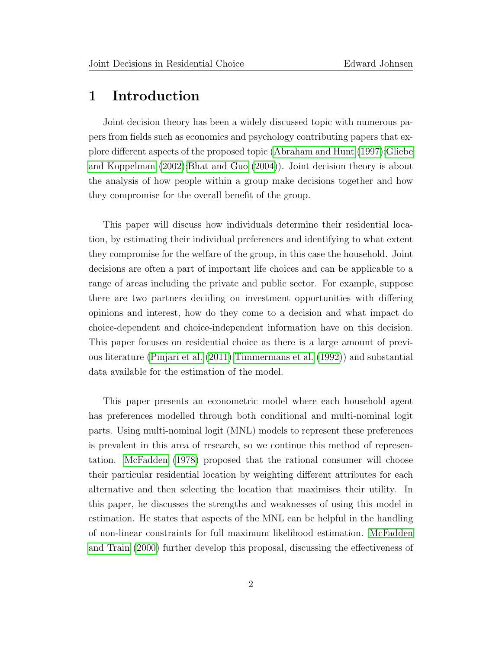# 1 Introduction

Joint decision theory has been a widely discussed topic with numerous papers from fields such as economics and psychology contributing papers that explore different aspects of the proposed topic [\(Abraham and Hunt](#page-44-0) [\(1997\)](#page-44-0)[;Gliebe](#page-45-0) [and Koppelman](#page-45-0) [\(2002\)](#page-45-0)[;Bhat and Guo](#page-44-1) [\(2004\)](#page-44-1)). Joint decision theory is about the analysis of how people within a group make decisions together and how they compromise for the overall benefit of the group.

This paper will discuss how individuals determine their residential location, by estimating their individual preferences and identifying to what extent they compromise for the welfare of the group, in this case the household. Joint decisions are often a part of important life choices and can be applicable to a range of areas including the private and public sector. For example, suppose there are two partners deciding on investment opportunities with differing opinions and interest, how do they come to a decision and what impact do choice-dependent and choice-independent information have on this decision. This paper focuses on residential choice as there is a large amount of previous literature [\(Pinjari et al.](#page-45-1) [\(2011\)](#page-45-1)[;Timmermans et al.](#page-46-0) [\(1992\)](#page-46-0)) and substantial data available for the estimation of the model.

This paper presents an econometric model where each household agent has preferences modelled through both conditional and multi-nominal logit parts. Using multi-nominal logit (MNL) models to represent these preferences is prevalent in this area of research, so we continue this method of representation. [McFadden](#page-45-2) [\(1978\)](#page-45-2) proposed that the rational consumer will choose their particular residential location by weighting different attributes for each alternative and then selecting the location that maximises their utility. In this paper, he discusses the strengths and weaknesses of using this model in estimation. He states that aspects of the MNL can be helpful in the handling of non-linear constraints for full maximum likelihood estimation. [McFadden](#page-45-3) [and Train](#page-45-3) [\(2000\)](#page-45-3) further develop this proposal, discussing the effectiveness of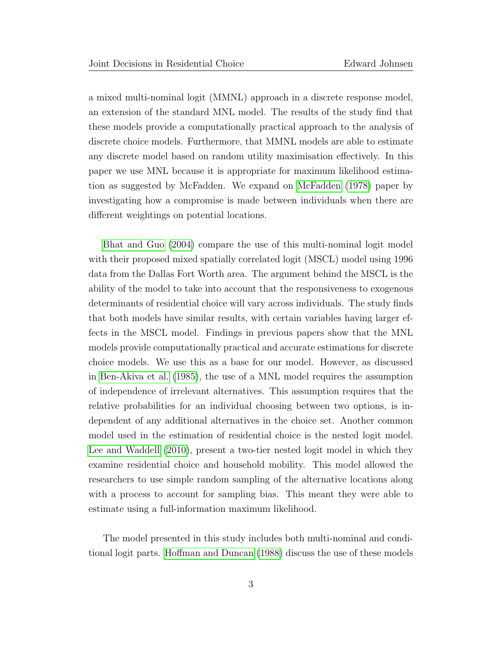a mixed multi-nominal logit (MMNL) approach in a discrete response model, an extension of the standard MNL model. The results of the study find that these models provide a computationally practical approach to the analysis of discrete choice models. Furthermore, that MMNL models are able to estimate any discrete model based on random utility maximisation effectively. In this paper we use MNL because it is appropriate for maximum likelihood estimation as suggested by McFadden. We expand on [McFadden](#page-45-2) [\(1978\)](#page-45-2) paper by investigating how a compromise is made between individuals when there are different weightings on potential locations.

[Bhat and Guo](#page-44-1) [\(2004\)](#page-44-1) compare the use of this multi-nominal logit model with their proposed mixed spatially correlated logit (MSCL) model using 1996 data from the Dallas Fort Worth area. The argument behind the MSCL is the ability of the model to take into account that the responsiveness to exogenous determinants of residential choice will vary across individuals. The study finds that both models have similar results, with certain variables having larger effects in the MSCL model. Findings in previous papers show that the MNL models provide computationally practical and accurate estimations for discrete choice models. We use this as a base for our model. However, as discussed in [Ben-Akiva et al.](#page-44-2) [\(1985\)](#page-44-2), the use of a MNL model requires the assumption of independence of irrelevant alternatives. This assumption requires that the relative probabilities for an individual choosing between two options, is independent of any additional alternatives in the choice set. Another common model used in the estimation of residential choice is the nested logit model. [Lee and Waddell](#page-45-4) [\(2010\)](#page-45-4), present a two-tier nested logit model in which they examine residential choice and household mobility. This model allowed the researchers to use simple random sampling of the alternative locations along with a process to account for sampling bias. This meant they were able to estimate using a full-information maximum likelihood.

The model presented in this study includes both multi-nominal and conditional logit parts. [Hoffman and Duncan](#page-45-5) [\(1988\)](#page-45-5) discuss the use of these models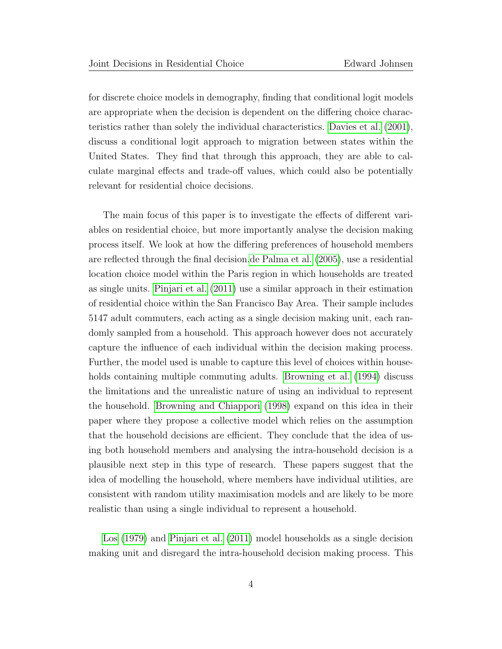for discrete choice models in demography, finding that conditional logit models are appropriate when the decision is dependent on the differing choice characteristics rather than solely the individual characteristics. [Davies et al.](#page-44-3) [\(2001\)](#page-44-3), discuss a conditional logit approach to migration between states within the United States. They find that through this approach, they are able to calculate marginal effects and trade-off values, which could also be potentially relevant for residential choice decisions.

The main focus of this paper is to investigate the effects of different variables on residential choice, but more importantly analyse the decision making process itself. We look at how the differing preferences of household members are reflected through the final decision[.de Palma et al.](#page-45-6) [\(2005\)](#page-45-6), use a residential location choice model within the Paris region in which households are treated as single units. [Pinjari et al.](#page-45-1) [\(2011\)](#page-45-1) use a similar approach in their estimation of residential choice within the San Francisco Bay Area. Their sample includes 5147 adult commuters, each acting as a single decision making unit, each randomly sampled from a household. This approach however does not accurately capture the influence of each individual within the decision making process. Further, the model used is unable to capture this level of choices within households containing multiple commuting adults. [Browning et al.](#page-44-4) [\(1994\)](#page-44-4) discuss the limitations and the unrealistic nature of using an individual to represent the household. [Browning and Chiappori](#page-44-5) [\(1998\)](#page-44-5) expand on this idea in their paper where they propose a collective model which relies on the assumption that the household decisions are efficient. They conclude that the idea of using both household members and analysing the intra-household decision is a plausible next step in this type of research. These papers suggest that the idea of modelling the household, where members have individual utilities, are consistent with random utility maximisation models and are likely to be more realistic than using a single individual to represent a household.

[Los](#page-45-7) [\(1979\)](#page-45-7) and [Pinjari et al.](#page-45-1) [\(2011\)](#page-45-1) model households as a single decision making unit and disregard the intra-household decision making process. This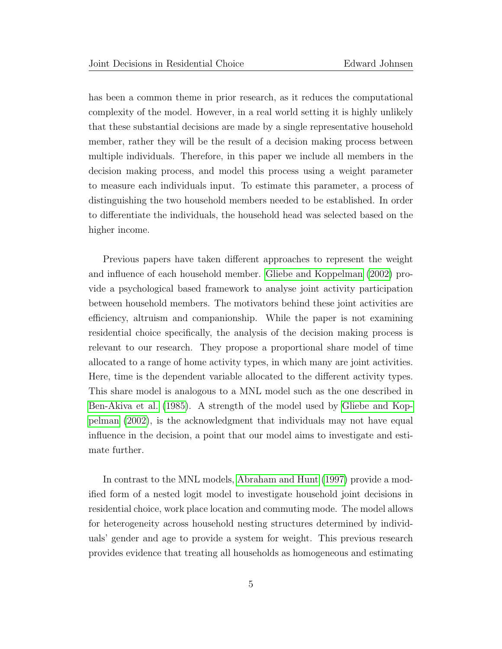has been a common theme in prior research, as it reduces the computational complexity of the model. However, in a real world setting it is highly unlikely that these substantial decisions are made by a single representative household member, rather they will be the result of a decision making process between multiple individuals. Therefore, in this paper we include all members in the decision making process, and model this process using a weight parameter to measure each individuals input. To estimate this parameter, a process of distinguishing the two household members needed to be established. In order to differentiate the individuals, the household head was selected based on the higher income.

Previous papers have taken different approaches to represent the weight and influence of each household member. [Gliebe and Koppelman](#page-45-0) [\(2002\)](#page-45-0) provide a psychological based framework to analyse joint activity participation between household members. The motivators behind these joint activities are efficiency, altruism and companionship. While the paper is not examining residential choice specifically, the analysis of the decision making process is relevant to our research. They propose a proportional share model of time allocated to a range of home activity types, in which many are joint activities. Here, time is the dependent variable allocated to the different activity types. This share model is analogous to a MNL model such as the one described in [Ben-Akiva et al.](#page-44-2) [\(1985\)](#page-44-2). A strength of the model used by [Gliebe and Kop](#page-45-0)[pelman](#page-45-0) [\(2002\)](#page-45-0), is the acknowledgment that individuals may not have equal influence in the decision, a point that our model aims to investigate and estimate further.

In contrast to the MNL models, [Abraham and Hunt](#page-44-0) [\(1997\)](#page-44-0) provide a modified form of a nested logit model to investigate household joint decisions in residential choice, work place location and commuting mode. The model allows for heterogeneity across household nesting structures determined by individuals' gender and age to provide a system for weight. This previous research provides evidence that treating all households as homogeneous and estimating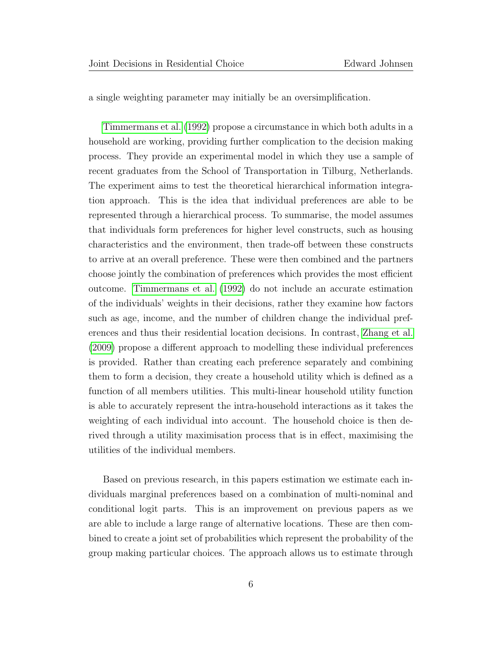a single weighting parameter may initially be an oversimplification.

[Timmermans et al.](#page-46-0) [\(1992\)](#page-46-0) propose a circumstance in which both adults in a household are working, providing further complication to the decision making process. They provide an experimental model in which they use a sample of recent graduates from the School of Transportation in Tilburg, Netherlands. The experiment aims to test the theoretical hierarchical information integration approach. This is the idea that individual preferences are able to be represented through a hierarchical process. To summarise, the model assumes that individuals form preferences for higher level constructs, such as housing characteristics and the environment, then trade-off between these constructs to arrive at an overall preference. These were then combined and the partners choose jointly the combination of preferences which provides the most efficient outcome. [Timmermans et al.](#page-46-0) [\(1992\)](#page-46-0) do not include an accurate estimation of the individuals' weights in their decisions, rather they examine how factors such as age, income, and the number of children change the individual preferences and thus their residential location decisions. In contrast, [Zhang et al.](#page-46-1) [\(2009\)](#page-46-1) propose a different approach to modelling these individual preferences is provided. Rather than creating each preference separately and combining them to form a decision, they create a household utility which is defined as a function of all members utilities. This multi-linear household utility function is able to accurately represent the intra-household interactions as it takes the weighting of each individual into account. The household choice is then derived through a utility maximisation process that is in effect, maximising the utilities of the individual members.

Based on previous research, in this papers estimation we estimate each individuals marginal preferences based on a combination of multi-nominal and conditional logit parts. This is an improvement on previous papers as we are able to include a large range of alternative locations. These are then combined to create a joint set of probabilities which represent the probability of the group making particular choices. The approach allows us to estimate through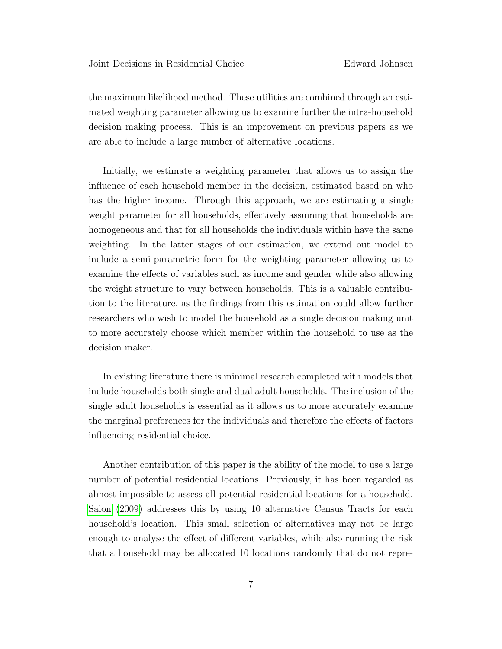the maximum likelihood method. These utilities are combined through an estimated weighting parameter allowing us to examine further the intra-household decision making process. This is an improvement on previous papers as we are able to include a large number of alternative locations.

Initially, we estimate a weighting parameter that allows us to assign the influence of each household member in the decision, estimated based on who has the higher income. Through this approach, we are estimating a single weight parameter for all households, effectively assuming that households are homogeneous and that for all households the individuals within have the same weighting. In the latter stages of our estimation, we extend out model to include a semi-parametric form for the weighting parameter allowing us to examine the effects of variables such as income and gender while also allowing the weight structure to vary between households. This is a valuable contribution to the literature, as the findings from this estimation could allow further researchers who wish to model the household as a single decision making unit to more accurately choose which member within the household to use as the decision maker.

In existing literature there is minimal research completed with models that include households both single and dual adult households. The inclusion of the single adult households is essential as it allows us to more accurately examine the marginal preferences for the individuals and therefore the effects of factors influencing residential choice.

Another contribution of this paper is the ability of the model to use a large number of potential residential locations. Previously, it has been regarded as almost impossible to assess all potential residential locations for a household. [Salon](#page-46-2) [\(2009\)](#page-46-2) addresses this by using 10 alternative Census Tracts for each household's location. This small selection of alternatives may not be large enough to analyse the effect of different variables, while also running the risk that a household may be allocated 10 locations randomly that do not repre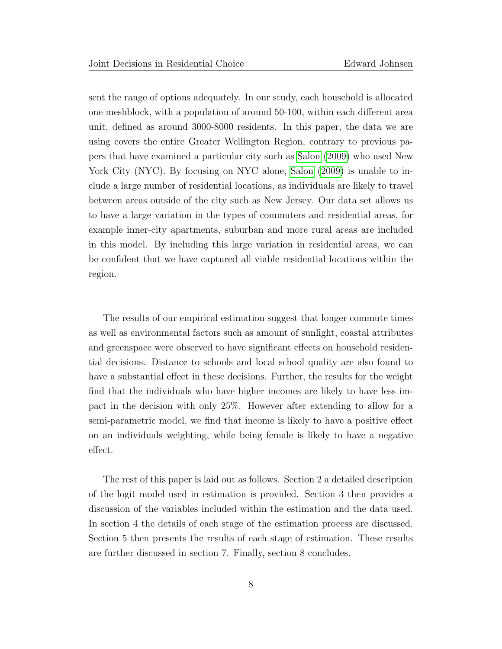sent the range of options adequately. In our study, each household is allocated one meshblock, with a population of around 50-100, within each different area unit, defined as around 3000-8000 residents. In this paper, the data we are using covers the entire Greater Wellington Region, contrary to previous papers that have examined a particular city such as [Salon](#page-46-2) [\(2009\)](#page-46-2) who used New York City (NYC). By focusing on NYC alone, [Salon](#page-46-2) [\(2009\)](#page-46-2) is unable to include a large number of residential locations, as individuals are likely to travel between areas outside of the city such as New Jersey. Our data set allows us to have a large variation in the types of commuters and residential areas, for example inner-city apartments, suburban and more rural areas are included in this model. By including this large variation in residential areas, we can be confident that we have captured all viable residential locations within the region.

The results of our empirical estimation suggest that longer commute times as well as environmental factors such as amount of sunlight, coastal attributes and greenspace were observed to have significant effects on household residential decisions. Distance to schools and local school quality are also found to have a substantial effect in these decisions. Further, the results for the weight find that the individuals who have higher incomes are likely to have less impact in the decision with only 25%. However after extending to allow for a semi-parametric model, we find that income is likely to have a positive effect on an individuals weighting, while being female is likely to have a negative effect.

The rest of this paper is laid out as follows. Section 2 a detailed description of the logit model used in estimation is provided. Section 3 then provides a discussion of the variables included within the estimation and the data used. In section 4 the details of each stage of the estimation process are discussed. Section 5 then presents the results of each stage of estimation. These results are further discussed in section 7. Finally, section 8 concludes.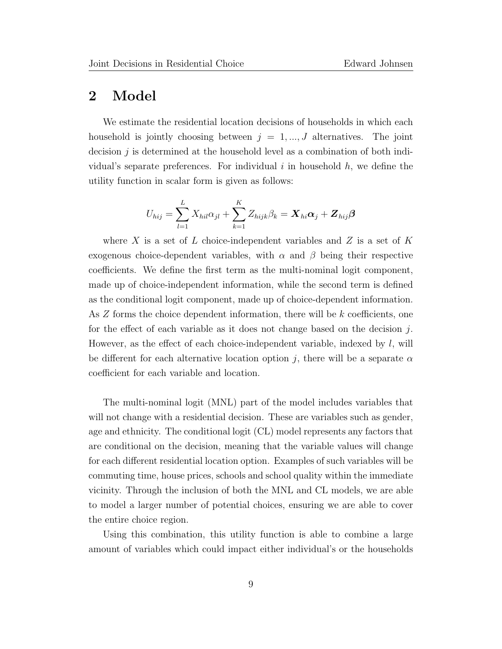# 2 Model

We estimate the residential location decisions of households in which each household is jointly choosing between  $j = 1, ..., J$  alternatives. The joint decision  $j$  is determined at the household level as a combination of both individual's separate preferences. For individual  $i$  in household  $h$ , we define the utility function in scalar form is given as follows:

$$
U_{hij} = \sum_{l=1}^{L} X_{hil} \alpha_{jl} + \sum_{k=1}^{K} Z_{hijk} \beta_k = \boldsymbol{X}_{hi} \boldsymbol{\alpha}_j + \boldsymbol{Z}_{hij} \boldsymbol{\beta}
$$

where X is a set of L choice-independent variables and Z is a set of K exogenous choice-dependent variables, with  $\alpha$  and  $\beta$  being their respective coefficients. We define the first term as the multi-nominal logit component, made up of choice-independent information, while the second term is defined as the conditional logit component, made up of choice-dependent information. As Z forms the choice dependent information, there will be k coefficients, one for the effect of each variable as it does not change based on the decision  $j$ . However, as the effect of each choice-independent variable, indexed by  $l$ , will be different for each alternative location option j, there will be a separate  $\alpha$ coefficient for each variable and location.

The multi-nominal logit (MNL) part of the model includes variables that will not change with a residential decision. These are variables such as gender, age and ethnicity. The conditional logit (CL) model represents any factors that are conditional on the decision, meaning that the variable values will change for each different residential location option. Examples of such variables will be commuting time, house prices, schools and school quality within the immediate vicinity. Through the inclusion of both the MNL and CL models, we are able to model a larger number of potential choices, ensuring we are able to cover the entire choice region.

Using this combination, this utility function is able to combine a large amount of variables which could impact either individual's or the households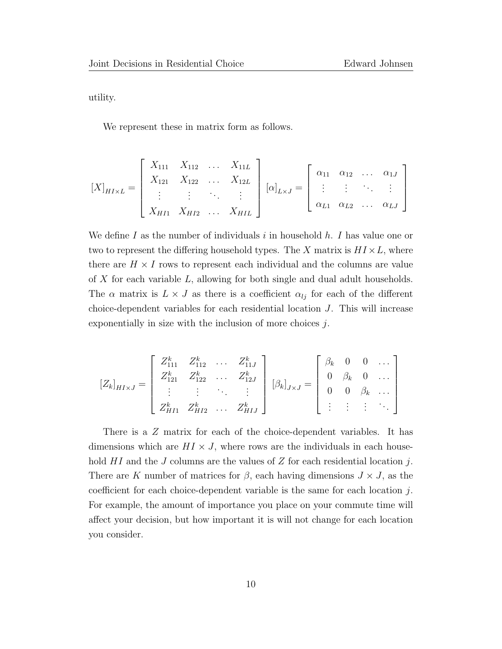utility.

We represent these in matrix form as follows.

$$
[X]_{HIXL} = \begin{bmatrix} X_{111} & X_{112} & \dots & X_{11L} \\ X_{121} & X_{122} & \dots & X_{12L} \\ \vdots & \vdots & \ddots & \vdots \\ X_{H11} & X_{H12} & \dots & X_{HIL} \end{bmatrix} [\alpha]_{L\times J} = \begin{bmatrix} \alpha_{11} & \alpha_{12} & \dots & \alpha_{1J} \\ \vdots & \vdots & \ddots & \vdots \\ \alpha_{L1} & \alpha_{L2} & \dots & \alpha_{LJ} \end{bmatrix}
$$

We define I as the number of individuals i in household  $h$ . I has value one or two to represent the differing household types. The X matrix is  $H I \times L$ , where there are  $H \times I$  rows to represent each individual and the columns are value of X for each variable L, allowing for both single and dual adult households. The  $\alpha$  matrix is  $L \times J$  as there is a coefficient  $\alpha_{lj}$  for each of the different choice-dependent variables for each residential location J. This will increase exponentially in size with the inclusion of more choices  $i$ .

$$
[Z_k]_{H I \times J} = \begin{bmatrix} Z_{111}^k & Z_{112}^k & \dots & Z_{11J}^k \\ Z_{121}^k & Z_{122}^k & \dots & Z_{12J}^k \\ \vdots & \vdots & \ddots & \vdots \\ Z_{H11}^k & Z_{H12}^k & \dots & Z_{H1J}^k \end{bmatrix} [\beta_k]_{J \times J} = \begin{bmatrix} \beta_k & 0 & 0 & \dots \\ 0 & \beta_k & 0 & \dots \\ 0 & 0 & \beta_k & \dots \\ \vdots & \vdots & \vdots & \ddots \end{bmatrix}
$$

There is a Z matrix for each of the choice-dependent variables. It has dimensions which are  $HI \times J$ , where rows are the individuals in each household  $HI$  and the  $J$  columns are the values of  $Z$  for each residential location  $j$ . There are K number of matrices for  $\beta$ , each having dimensions  $J \times J$ , as the coefficient for each choice-dependent variable is the same for each location j. For example, the amount of importance you place on your commute time will affect your decision, but how important it is will not change for each location you consider.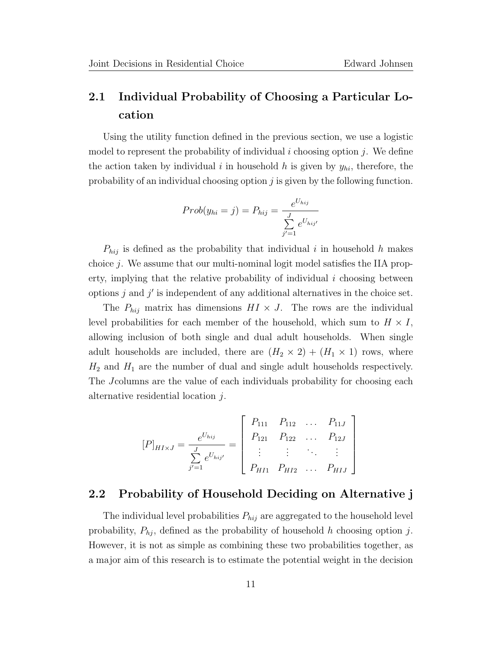# 2.1 Individual Probability of Choosing a Particular Location

Using the utility function defined in the previous section, we use a logistic model to represent the probability of individual i choosing option j. We define the action taken by individual i in household h is given by  $y_{hi}$ , therefore, the probability of an individual choosing option j is given by the following function.

$$
Prob(y_{hi} = j) = P_{hij} = \frac{e^{U_{hij}}}{\sum_{j'=1}^{J} e^{U_{hij'}}}
$$

 $P_{hij}$  is defined as the probability that individual i in household h makes choice j. We assume that our multi-nominal logit model satisfies the IIA property, implying that the relative probability of individual  $i$  choosing between options  $j$  and  $j'$  is independent of any additional alternatives in the choice set.

The  $P_{hij}$  matrix has dimensions  $H I \times J$ . The rows are the individual level probabilities for each member of the household, which sum to  $H \times I$ , allowing inclusion of both single and dual adult households. When single adult households are included, there are  $(H_2 \times 2) + (H_1 \times 1)$  rows, where  $H_2$  and  $H_1$  are the number of dual and single adult households respectively. The Jcolumns are the value of each individuals probability for choosing each alternative residential location j.

$$
[P]_{H I \times J} = \frac{e^{U_{hij}}}{\sum_{j'=1}^{J} e^{U_{hij'}}} = \begin{bmatrix} P_{111} & P_{112} & \dots & P_{11J} \\ P_{121} & P_{122} & \dots & P_{12J} \\ \vdots & \vdots & \ddots & \vdots \\ P_{H11} & P_{H12} & \dots & P_{H1J} \end{bmatrix}
$$

### 2.2 Probability of Household Deciding on Alternative j

The individual level probabilities  $P_{hij}$  are aggregated to the household level probability,  $P_{hj}$ , defined as the probability of household h choosing option j. However, it is not as simple as combining these two probabilities together, as a major aim of this research is to estimate the potential weight in the decision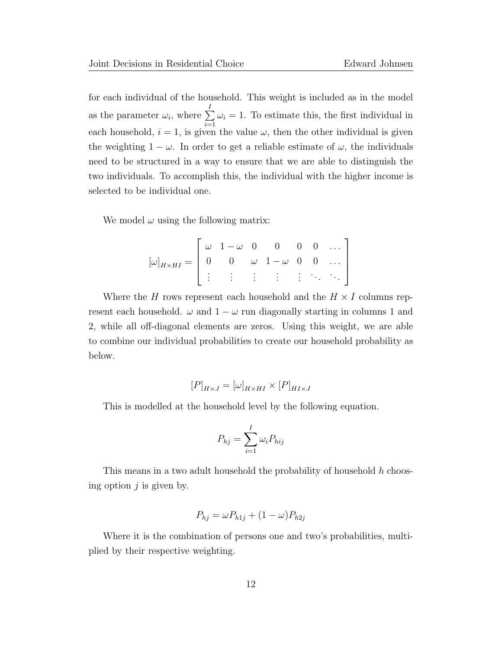for each individual of the household. This weight is included as in the model as the parameter  $\omega_i$ , where  $\sum^I$  $i=1$  $\omega_i = 1$ . To estimate this, the first individual in each household,  $i = 1$ , is given the value  $\omega$ , then the other individual is given the weighting  $1 - \omega$ . In order to get a reliable estimate of  $\omega$ , the individuals need to be structured in a way to ensure that we are able to distinguish the two individuals. To accomplish this, the individual with the higher income is selected to be individual one.

We model  $\omega$  using the following matrix:

$$
[\omega]_{H\times HI}=\left[\begin{array}{cccccc}\omega&1-\omega&0&0&0&0&\dots\\0&0&\omega&1-\omega&0&0&\dots\\\vdots&\vdots&\vdots&\vdots&\ddots&\ddots\end{array}\right]
$$

Where the H rows represent each household and the  $H \times I$  columns represent each household.  $\omega$  and  $1 - \omega$  run diagonally starting in columns 1 and 2, while all off-diagonal elements are zeros. Using this weight, we are able to combine our individual probabilities to create our household probability as below.

$$
[P]_{H \times J} = [\omega]_{H \times HI} \times [P]_{H I \times J}
$$

This is modelled at the household level by the following equation.

$$
P_{hj} = \sum_{i=1}^{I} \omega_i P_{hij}
$$

This means in a two adult household the probability of household h choosing option  $j$  is given by.

$$
P_{hj} = \omega P_{h1j} + (1 - \omega)P_{h2j}
$$

Where it is the combination of persons one and two's probabilities, multiplied by their respective weighting.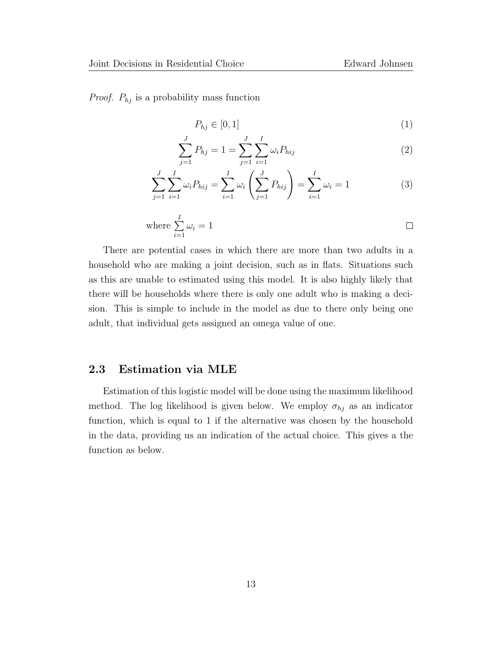*Proof.*  $P_{hj}$  is a probability mass function

$$
P_{hj} \in [0,1] \tag{1}
$$

$$
\sum_{j=1}^{J} P_{hj} = 1 = \sum_{j=1}^{J} \sum_{i=1}^{I} \omega_i P_{hij}
$$
 (2)

$$
\sum_{j=1}^{J} \sum_{i=1}^{I} \omega_i P_{hij} = \sum_{i=1}^{I} \omega_i \left( \sum_{j=1}^{J} P_{hij} \right) = \sum_{i=1}^{I} \omega_i = 1 \tag{3}
$$

where 
$$
\sum_{i=1}^{I} \omega_i = 1
$$

There are potential cases in which there are more than two adults in a household who are making a joint decision, such as in flats. Situations such as this are unable to estimated using this model. It is also highly likely that there will be households where there is only one adult who is making a decision. This is simple to include in the model as due to there only being one adult, that individual gets assigned an omega value of one.

#### 2.3 Estimation via MLE

Estimation of this logistic model will be done using the maximum likelihood method. The log likelihood is given below. We employ  $\sigma_{hj}$  as an indicator function, which is equal to 1 if the alternative was chosen by the household in the data, providing us an indication of the actual choice. This gives a the function as below.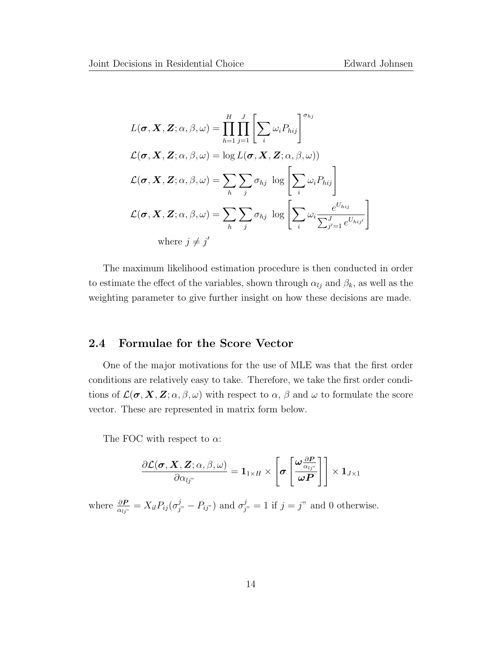$$
L(\boldsymbol{\sigma}, \mathbf{X}, \mathbf{Z}; \alpha, \beta, \omega) = \prod_{h=1}^{H} \prod_{j=1}^{J} \left[ \sum_{i} \omega_{i} P_{hij} \right]^{\sigma_{hj}}
$$
  

$$
\mathcal{L}(\boldsymbol{\sigma}, \mathbf{X}, \mathbf{Z}; \alpha, \beta, \omega) = \log L(\boldsymbol{\sigma}, \mathbf{X}, \mathbf{Z}; \alpha, \beta, \omega))
$$
  

$$
\mathcal{L}(\boldsymbol{\sigma}, \mathbf{X}, \mathbf{Z}; \alpha, \beta, \omega) = \sum_{h} \sum_{j} \sigma_{hj} \log \left[ \sum_{i} \omega_{i} P_{hij} \right]
$$
  

$$
\mathcal{L}(\boldsymbol{\sigma}, \mathbf{X}, \mathbf{Z}; \alpha, \beta, \omega) = \sum_{h} \sum_{j} \sigma_{hj} \log \left[ \sum_{i} \omega_{i} \frac{e^{U_{hij}}}{\sum_{j'=1}^{J} e^{U_{hij'}}} \right]
$$
  
where  $j \neq j'$ 

The maximum likelihood estimation procedure is then conducted in order to estimate the effect of the variables, shown through  $\alpha_{lj}$  and  $\beta_k$ , as well as the weighting parameter to give further insight on how these decisions are made.

### 2.4 Formulae for the Score Vector

One of the major motivations for the use of MLE was that the first order conditions are relatively easy to take. Therefore, we take the first order conditions of  $\mathcal{L}(\sigma, X, Z; \alpha, \beta, \omega)$  with respect to  $\alpha, \beta$  and  $\omega$  to formulate the score vector. These are represented in matrix form below.

The FOC with respect to  $\alpha$ :

$$
\frac{\partial \mathcal{L}(\boldsymbol{\sigma}, \boldsymbol{X}, \boldsymbol{Z}; \alpha, \beta, \omega)}{\partial \alpha_{lj^n}} = \mathbf{1}_{1 \times H} \times \left[ \boldsymbol{\sigma} \left[ \frac{\boldsymbol{\omega} \frac{\partial \boldsymbol{P}}{\alpha_{lj^n}}}{\boldsymbol{\omega} \boldsymbol{P}} \right] \right] \times \mathbf{1}_{J \times 1}
$$

where  $\frac{\partial P}{\partial q_{j}} = X_{il} P_{ij} (\sigma_{j'}^j - P_{ij''})$  and  $\sigma_{j'}^j = 1$  if  $j = j''$  and 0 otherwise.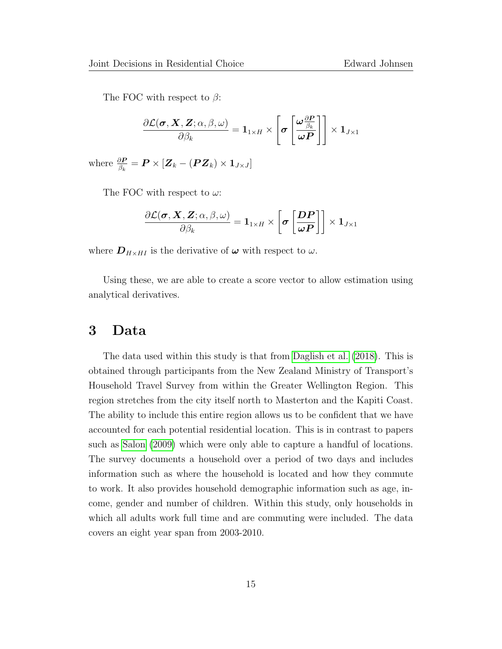The FOC with respect to  $\beta$ :

$$
\frac{\partial \mathcal{L}(\bm{\sigma}, \bm{X}, \bm{Z}; \alpha, \beta, \omega)}{\partial \beta_k} = \bm{1}_{1 \times H} \times \left[ \bm{\sigma} \left[ \frac{\bm{\omega} \frac{\partial \bm{P}}{\beta_k}}{\bm{\omega} \bm{P}} \right] \right] \times \bm{1}_{J \times 1}
$$

where  $\frac{\partial \boldsymbol{P}}{\beta_k} = \boldsymbol{P} \times \left[ \boldsymbol{Z}_k - \left( \boldsymbol{P} \boldsymbol{Z}_k \right) \times \boldsymbol{1}_{J \times J} \right]$ 

The FOC with respect to  $\omega$ :

$$
\frac{\partial \mathcal{L}(\bm{\sigma}, \bm{X}, \bm{Z}; \alpha, \beta, \omega)}{\partial \beta_k} = \bm{1}_{1 \times H} \times \left[ \bm{\sigma} \left[ \frac{\bm{D} \bm{P}}{\bm{\omega} \bm{P}} \right] \right] \times \bm{1}_{J \times 1}
$$

where  $D_{H \times HI}$  is the derivative of  $\omega$  with respect to  $\omega$ .

Using these, we are able to create a score vector to allow estimation using analytical derivatives.

### 3 Data

The data used within this study is that from [Daglish et al.](#page-44-6) [\(2018\)](#page-44-6). This is obtained through participants from the New Zealand Ministry of Transport's Household Travel Survey from within the Greater Wellington Region. This region stretches from the city itself north to Masterton and the Kapiti Coast. The ability to include this entire region allows us to be confident that we have accounted for each potential residential location. This is in contrast to papers such as [Salon](#page-46-2) [\(2009\)](#page-46-2) which were only able to capture a handful of locations. The survey documents a household over a period of two days and includes information such as where the household is located and how they commute to work. It also provides household demographic information such as age, income, gender and number of children. Within this study, only households in which all adults work full time and are commuting were included. The data covers an eight year span from 2003-2010.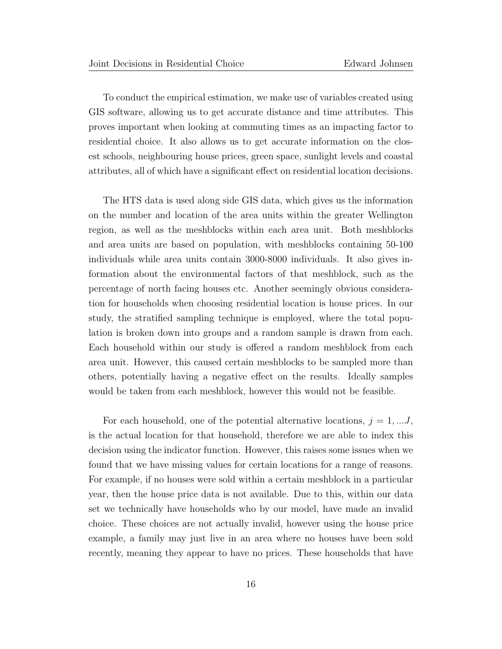To conduct the empirical estimation, we make use of variables created using GIS software, allowing us to get accurate distance and time attributes. This proves important when looking at commuting times as an impacting factor to residential choice. It also allows us to get accurate information on the closest schools, neighbouring house prices, green space, sunlight levels and coastal attributes, all of which have a significant effect on residential location decisions.

The HTS data is used along side GIS data, which gives us the information on the number and location of the area units within the greater Wellington region, as well as the meshblocks within each area unit. Both meshblocks and area units are based on population, with meshblocks containing 50-100 individuals while area units contain 3000-8000 individuals. It also gives information about the environmental factors of that meshblock, such as the percentage of north facing houses etc. Another seemingly obvious consideration for households when choosing residential location is house prices. In our study, the stratified sampling technique is employed, where the total population is broken down into groups and a random sample is drawn from each. Each household within our study is offered a random meshblock from each area unit. However, this caused certain meshblocks to be sampled more than others, potentially having a negative effect on the results. Ideally samples would be taken from each meshblock, however this would not be feasible.

For each household, one of the potential alternative locations,  $j = 1, \ldots J$ , is the actual location for that household, therefore we are able to index this decision using the indicator function. However, this raises some issues when we found that we have missing values for certain locations for a range of reasons. For example, if no houses were sold within a certain meshblock in a particular year, then the house price data is not available. Due to this, within our data set we technically have households who by our model, have made an invalid choice. These choices are not actually invalid, however using the house price example, a family may just live in an area where no houses have been sold recently, meaning they appear to have no prices. These households that have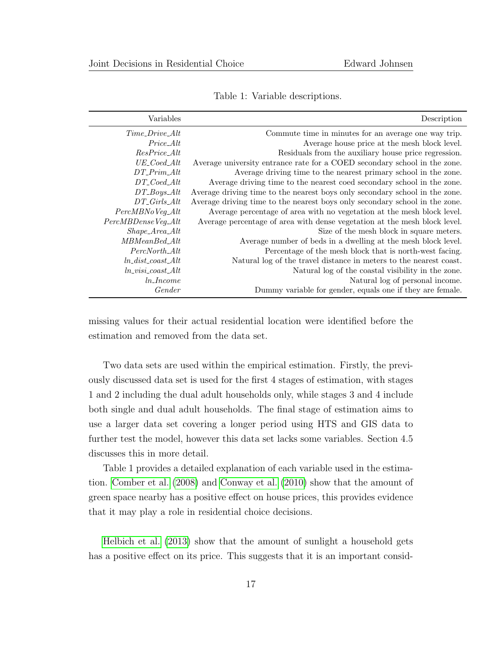| Variables              | Description                                                                 |
|------------------------|-----------------------------------------------------------------------------|
| $Time\_ Drive\_Alt$    | Commute time in minutes for an average one way trip.                        |
| $Price\_Alt$           | Average house price at the mesh block level.                                |
| $ResPrice\_Alt$        | Residuals from the auxiliary house price regression.                        |
| $UE\_Coded\_Alt$       | Average university entrance rate for a COED secondary school in the zone.   |
| $DT\_Prim\_Alt$        | Average driving time to the nearest primary school in the zone.             |
| $DT\_Coed\_Alt$        | Average driving time to the nearest coed secondary school in the zone.      |
| $DT_Boys\_Alt$         | Average driving time to the nearest boys only secondary school in the zone. |
| $DT\_Girls\_Alt$       | Average driving time to the nearest boys only secondary school in the zone. |
| $PercMBNo\,Veg\_Alt$   | Average percentage of area with no vegetation at the mesh block level.      |
| PercMBDenseVeg_Alt     | Average percentage of area with dense vegetation at the mesh block level.   |
| $Shape\_Area\_Alt$     | Size of the mesh block in square meters.                                    |
| $MBMeanBed\_Alt$       | Average number of beds in a dwelling at the mesh block level.               |
| PercNorth_Alt          | Percentage of the mesh block that is north-west facing.                     |
| $ln\_dist\_coast\_Alt$ | Natural log of the travel distance in meters to the nearest coast.          |
| $ln\_visi\_coast\_Alt$ | Natural log of the coastal visibility in the zone.                          |
| $ln\_Income$           | Natural log of personal income.                                             |
| Gender                 | Dummy variable for gender, equals one if they are female.                   |

Table 1: Variable descriptions.

missing values for their actual residential location were identified before the estimation and removed from the data set.

Two data sets are used within the empirical estimation. Firstly, the previously discussed data set is used for the first 4 stages of estimation, with stages 1 and 2 including the dual adult households only, while stages 3 and 4 include both single and dual adult households. The final stage of estimation aims to use a larger data set covering a longer period using HTS and GIS data to further test the model, however this data set lacks some variables. Section 4.5 discusses this in more detail.

Table 1 provides a detailed explanation of each variable used in the estimation. [Comber et al.](#page-44-7) [\(2008\)](#page-44-7) and [Conway et al.](#page-44-8) [\(2010\)](#page-44-8) show that the amount of green space nearby has a positive effect on house prices, this provides evidence that it may play a role in residential choice decisions.

[Helbich et al.](#page-45-8) [\(2013\)](#page-45-8) show that the amount of sunlight a household gets has a positive effect on its price. This suggests that it is an important consid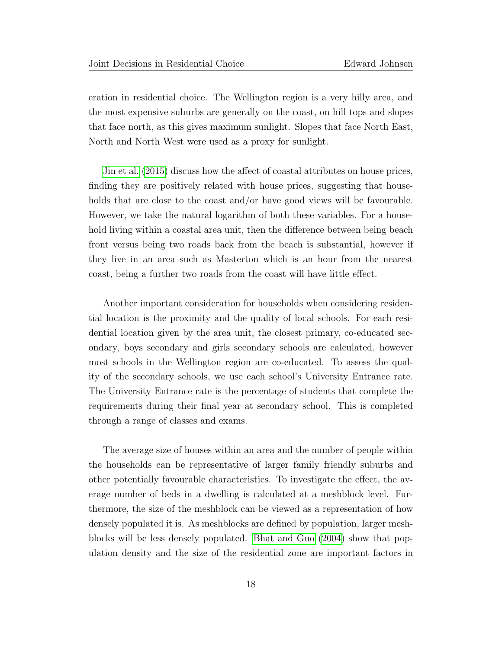eration in residential choice. The Wellington region is a very hilly area, and the most expensive suburbs are generally on the coast, on hill tops and slopes that face north, as this gives maximum sunlight. Slopes that face North East, North and North West were used as a proxy for sunlight.

[Jin et al.](#page-45-9) [\(2015\)](#page-45-9) discuss how the affect of coastal attributes on house prices, finding they are positively related with house prices, suggesting that households that are close to the coast and/or have good views will be favourable. However, we take the natural logarithm of both these variables. For a household living within a coastal area unit, then the difference between being beach front versus being two roads back from the beach is substantial, however if they live in an area such as Masterton which is an hour from the nearest coast, being a further two roads from the coast will have little effect.

Another important consideration for households when considering residential location is the proximity and the quality of local schools. For each residential location given by the area unit, the closest primary, co-educated secondary, boys secondary and girls secondary schools are calculated, however most schools in the Wellington region are co-educated. To assess the quality of the secondary schools, we use each school's University Entrance rate. The University Entrance rate is the percentage of students that complete the requirements during their final year at secondary school. This is completed through a range of classes and exams.

The average size of houses within an area and the number of people within the households can be representative of larger family friendly suburbs and other potentially favourable characteristics. To investigate the effect, the average number of beds in a dwelling is calculated at a meshblock level. Furthermore, the size of the meshblock can be viewed as a representation of how densely populated it is. As meshblocks are defined by population, larger meshblocks will be less densely populated. [Bhat and Guo](#page-44-1) [\(2004\)](#page-44-1) show that population density and the size of the residential zone are important factors in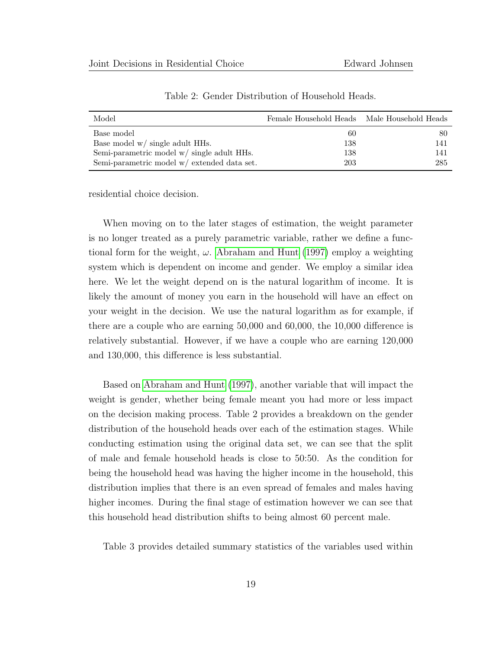| Model                                         | Female Household Heads Male Household Heads |     |
|-----------------------------------------------|---------------------------------------------|-----|
| Base model                                    | 60                                          | 80  |
| Base model $w/$ single adult HHs.             | 138                                         | 141 |
| Semi-parametric model w/ single adult HHs.    | 138                                         | 141 |
| Semi-parametric model $w/$ extended data set. | 203                                         | 285 |

Table 2: Gender Distribution of Household Heads.

residential choice decision.

When moving on to the later stages of estimation, the weight parameter is no longer treated as a purely parametric variable, rather we define a functional form for the weight,  $\omega$ . [Abraham and Hunt](#page-44-0) [\(1997\)](#page-44-0) employ a weighting system which is dependent on income and gender. We employ a similar idea here. We let the weight depend on is the natural logarithm of income. It is likely the amount of money you earn in the household will have an effect on your weight in the decision. We use the natural logarithm as for example, if there are a couple who are earning 50,000 and 60,000, the 10,000 difference is relatively substantial. However, if we have a couple who are earning 120,000 and 130,000, this difference is less substantial.

Based on [Abraham and Hunt](#page-44-0) [\(1997\)](#page-44-0), another variable that will impact the weight is gender, whether being female meant you had more or less impact on the decision making process. Table 2 provides a breakdown on the gender distribution of the household heads over each of the estimation stages. While conducting estimation using the original data set, we can see that the split of male and female household heads is close to 50:50. As the condition for being the household head was having the higher income in the household, this distribution implies that there is an even spread of females and males having higher incomes. During the final stage of estimation however we can see that this household head distribution shifts to being almost 60 percent male.

Table 3 provides detailed summary statistics of the variables used within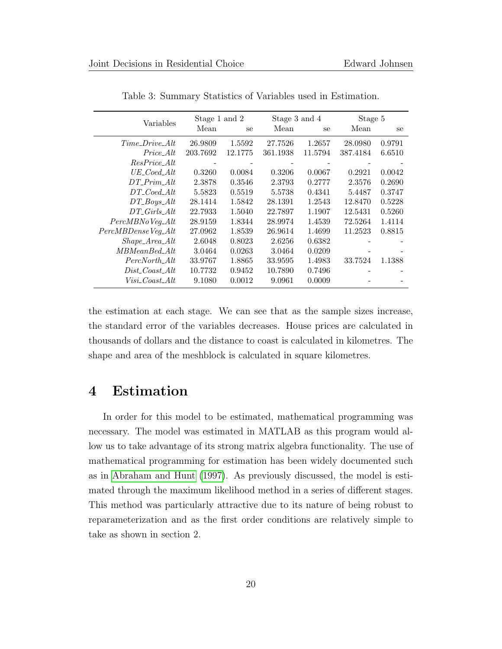| Variables            |          | Stage 3 and 4<br>Stage 5<br>Stage 1 and 2 |          |               |          |        |
|----------------------|----------|-------------------------------------------|----------|---------------|----------|--------|
|                      | Mean     | se                                        | Mean     | <sub>se</sub> | Mean     | se     |
| $Time\_Dirive\_Alt$  | 26.9809  | 1.5592                                    | 27.7526  | 1.2657        | 28.0980  | 0.9791 |
| Price Alt            | 203.7692 | 12.1775                                   | 361.1938 | 11.5794       | 387.4184 | 6.6510 |
| ResPrice Alt         |          |                                           |          |               |          |        |
| $UE\_Coed\_Alt$      | 0.3260   | 0.0084                                    | 0.3206   | 0.0067        | 0.2921   | 0.0042 |
| $DT$ Prim Alt        | 2.3878   | 0.3546                                    | 2.3793   | 0.2777        | 2.3576   | 0.2690 |
| $DT\_Coed\_Alt$      | 5.5823   | 0.5519                                    | 5.5738   | 0.4341        | 5.4487   | 0.3747 |
| $DT_Boys\_Alt$       | 28.1414  | 1.5842                                    | 28.1391  | 1.2543        | 12.8470  | 0.5228 |
| $DT\_Girls\_Alt$     | 22.7933  | 1.5040                                    | 22.7897  | 1.1907        | 12.5431  | 0.5260 |
| $PercMBNo\,Veg\_Alt$ | 28.9159  | 1.8344                                    | 28.9974  | 1.4539        | 72.5264  | 1.4114 |
| PercMBDenseVeg_Alt   | 27.0962  | 1.8539                                    | 26.9614  | 1.4699        | 11.2523  | 0.8815 |
| $Shape\_Area\_Alt$   | 2.6048   | 0.8023                                    | 2.6256   | 0.6382        |          |        |
| $MBMeanBed\_Alt$     | 3.0464   | 0.0263                                    | 3.0464   | 0.0209        |          |        |
| PercNorth Alt        | 33.9767  | 1.8865                                    | 33.9595  | 1.4983        | 33.7524  | 1.1388 |
| $Dist\_Coast\_Alt$   | 10.7732  | 0.9452                                    | 10.7890  | 0.7496        |          |        |
| $Visi\_Coast\_Alt$   | 9.1080   | 0.0012                                    | 9.0961   | 0.0009        |          |        |

Table 3: Summary Statistics of Variables used in Estimation.

the estimation at each stage. We can see that as the sample sizes increase, the standard error of the variables decreases. House prices are calculated in thousands of dollars and the distance to coast is calculated in kilometres. The shape and area of the meshblock is calculated in square kilometres.

# 4 Estimation

In order for this model to be estimated, mathematical programming was necessary. The model was estimated in MATLAB as this program would allow us to take advantage of its strong matrix algebra functionality. The use of mathematical programming for estimation has been widely documented such as in [Abraham and Hunt](#page-44-0) [\(1997\)](#page-44-0). As previously discussed, the model is estimated through the maximum likelihood method in a series of different stages. This method was particularly attractive due to its nature of being robust to reparameterization and as the first order conditions are relatively simple to take as shown in section 2.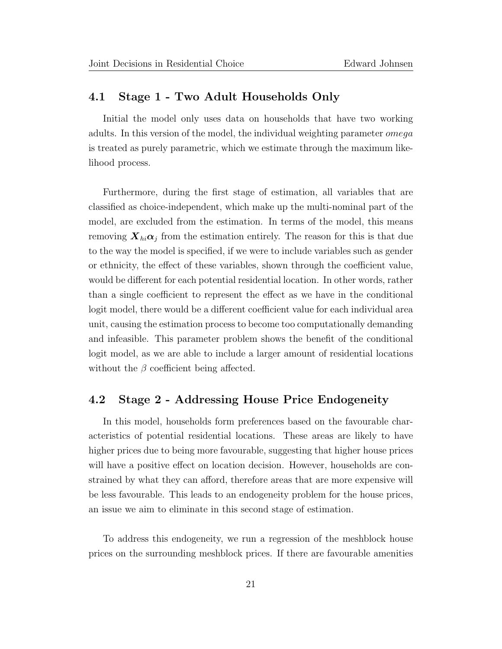#### 4.1 Stage 1 - Two Adult Households Only

Initial the model only uses data on households that have two working adults. In this version of the model, the individual weighting parameter *omega* is treated as purely parametric, which we estimate through the maximum likelihood process.

Furthermore, during the first stage of estimation, all variables that are classified as choice-independent, which make up the multi-nominal part of the model, are excluded from the estimation. In terms of the model, this means removing  $\mathbf{X}_{hi} \alpha_j$  from the estimation entirely. The reason for this is that due to the way the model is specified, if we were to include variables such as gender or ethnicity, the effect of these variables, shown through the coefficient value, would be different for each potential residential location. In other words, rather than a single coefficient to represent the effect as we have in the conditional logit model, there would be a different coefficient value for each individual area unit, causing the estimation process to become too computationally demanding and infeasible. This parameter problem shows the benefit of the conditional logit model, as we are able to include a larger amount of residential locations without the  $\beta$  coefficient being affected.

#### 4.2 Stage 2 - Addressing House Price Endogeneity

In this model, households form preferences based on the favourable characteristics of potential residential locations. These areas are likely to have higher prices due to being more favourable, suggesting that higher house prices will have a positive effect on location decision. However, households are constrained by what they can afford, therefore areas that are more expensive will be less favourable. This leads to an endogeneity problem for the house prices, an issue we aim to eliminate in this second stage of estimation.

To address this endogeneity, we run a regression of the meshblock house prices on the surrounding meshblock prices. If there are favourable amenities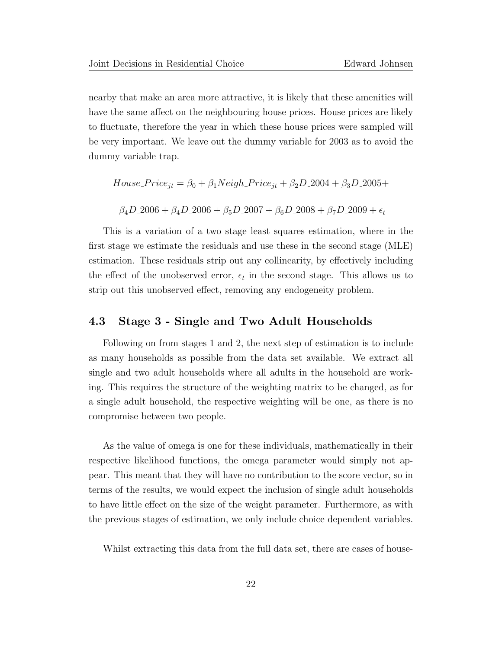nearby that make an area more attractive, it is likely that these amenities will have the same affect on the neighbouring house prices. House prices are likely to fluctuate, therefore the year in which these house prices were sampled will be very important. We leave out the dummy variable for 2003 as to avoid the dummy variable trap.

$$
House\_Price_{jt} = \beta_0 + \beta_1 Neigh\_Price_{jt} + \beta_2 D\_2004 + \beta_3 D\_2005 +
$$
  

$$
\beta_4 D\_2006 + \beta_4 D\_2006 + \beta_5 D\_2007 + \beta_6 D\_2008 + \beta_7 D\_2009 + \epsilon_t
$$

This is a variation of a two stage least squares estimation, where in the first stage we estimate the residuals and use these in the second stage (MLE) estimation. These residuals strip out any collinearity, by effectively including the effect of the unobserved error,  $\epsilon_t$  in the second stage. This allows us to strip out this unobserved effect, removing any endogeneity problem.

#### 4.3 Stage 3 - Single and Two Adult Households

Following on from stages 1 and 2, the next step of estimation is to include as many households as possible from the data set available. We extract all single and two adult households where all adults in the household are working. This requires the structure of the weighting matrix to be changed, as for a single adult household, the respective weighting will be one, as there is no compromise between two people.

As the value of omega is one for these individuals, mathematically in their respective likelihood functions, the omega parameter would simply not appear. This meant that they will have no contribution to the score vector, so in terms of the results, we would expect the inclusion of single adult households to have little effect on the size of the weight parameter. Furthermore, as with the previous stages of estimation, we only include choice dependent variables.

Whilst extracting this data from the full data set, there are cases of house-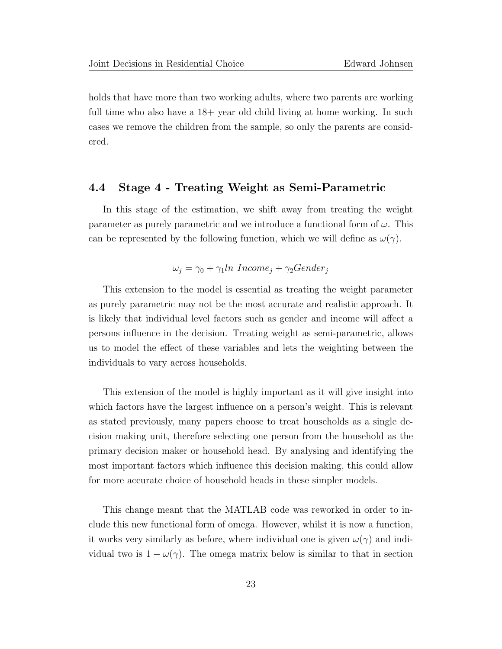holds that have more than two working adults, where two parents are working full time who also have a  $18+$  year old child living at home working. In such cases we remove the children from the sample, so only the parents are considered.

#### 4.4 Stage 4 - Treating Weight as Semi-Parametric

In this stage of the estimation, we shift away from treating the weight parameter as purely parametric and we introduce a functional form of  $\omega$ . This can be represented by the following function, which we will define as  $\omega(\gamma)$ .

$$
\omega_j = \gamma_0 + \gamma_1 ln\_Income_j + \gamma_2 Gender_j
$$

This extension to the model is essential as treating the weight parameter as purely parametric may not be the most accurate and realistic approach. It is likely that individual level factors such as gender and income will affect a persons influence in the decision. Treating weight as semi-parametric, allows us to model the effect of these variables and lets the weighting between the individuals to vary across households.

This extension of the model is highly important as it will give insight into which factors have the largest influence on a person's weight. This is relevant as stated previously, many papers choose to treat households as a single decision making unit, therefore selecting one person from the household as the primary decision maker or household head. By analysing and identifying the most important factors which influence this decision making, this could allow for more accurate choice of household heads in these simpler models.

This change meant that the MATLAB code was reworked in order to include this new functional form of omega. However, whilst it is now a function, it works very similarly as before, where individual one is given  $\omega(\gamma)$  and individual two is  $1 - \omega(\gamma)$ . The omega matrix below is similar to that in section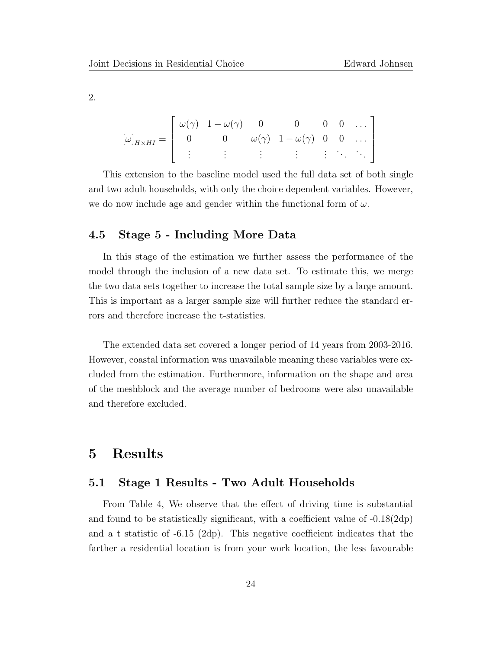2.

$$
[\omega]_{H\times HI} = \left[ \begin{array}{ccccc} \omega(\gamma) & 1 - \omega(\gamma) & 0 & 0 & 0 & 0 & \dots \\ 0 & 0 & \omega(\gamma) & 1 - \omega(\gamma) & 0 & 0 & \dots \\ \vdots & \vdots & \vdots & \vdots & \vdots & \ddots & \ddots \end{array} \right]
$$

This extension to the baseline model used the full data set of both single and two adult households, with only the choice dependent variables. However, we do now include age and gender within the functional form of  $\omega$ .

#### 4.5 Stage 5 - Including More Data

In this stage of the estimation we further assess the performance of the model through the inclusion of a new data set. To estimate this, we merge the two data sets together to increase the total sample size by a large amount. This is important as a larger sample size will further reduce the standard errors and therefore increase the t-statistics.

The extended data set covered a longer period of 14 years from 2003-2016. However, coastal information was unavailable meaning these variables were excluded from the estimation. Furthermore, information on the shape and area of the meshblock and the average number of bedrooms were also unavailable and therefore excluded.

# 5 Results

#### 5.1 Stage 1 Results - Two Adult Households

From Table 4, We observe that the effect of driving time is substantial and found to be statistically significant, with a coefficient value of -0.18(2dp) and a t statistic of -6.15 (2dp). This negative coefficient indicates that the farther a residential location is from your work location, the less favourable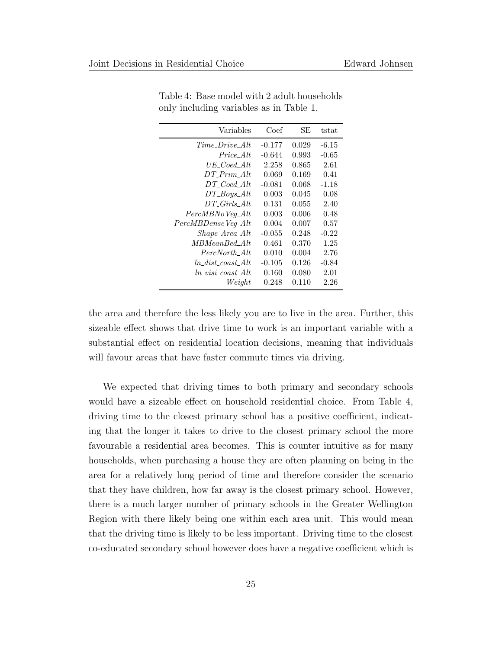| Variables              | Coef     | SЕ    | tstat   |
|------------------------|----------|-------|---------|
| Time Drive Alt         | $-0.177$ | 0.029 | $-6.15$ |
| Price Alt              | $-0.644$ | 0.993 | -0.65   |
| $UE\_Coed\_Alt$        | 2.258    | 0.865 | 2.61    |
| $DT$ Prim Alt          | 0.069    | 0.169 | 0.41    |
| $DT\_Coed\_Alt$        | $-0.081$ | 0.068 | $-1.18$ |
| $DT_Boys\_Alt$         | 0.003    | 0.045 | 0.08    |
| DT Girls Alt           | 0.131    | 0.055 | 2.40    |
| $PercMBNo\,Veg\_Alt$   | 0.003    | 0.006 | 0.48    |
| PercMBDenseVeg_Alt     | 0.004    | 0.007 | 0.57    |
| $Shape\_Area\_Alt$     | $-0.055$ | 0.248 | $-0.22$ |
| <i>MBMeanBed_Alt</i>   | 0.461    | 0.370 | 1.25    |
| PercNorth_Alt          | 0.010    | 0.004 | 2.76    |
| $ln\_dist\_coast\_Alt$ | $-0.105$ | 0.126 | $-0.84$ |
| $ln\_visi\_coast\_Alt$ | 0.160    | 0.080 | 2.01    |
| Weight                 | 0.248    | 0.110 | 2.26    |

Table 4: Base model with 2 adult households only including variables as in Table 1.

the area and therefore the less likely you are to live in the area. Further, this sizeable effect shows that drive time to work is an important variable with a substantial effect on residential location decisions, meaning that individuals will favour areas that have faster commute times via driving.

We expected that driving times to both primary and secondary schools would have a sizeable effect on household residential choice. From Table 4, driving time to the closest primary school has a positive coefficient, indicating that the longer it takes to drive to the closest primary school the more favourable a residential area becomes. This is counter intuitive as for many households, when purchasing a house they are often planning on being in the area for a relatively long period of time and therefore consider the scenario that they have children, how far away is the closest primary school. However, there is a much larger number of primary schools in the Greater Wellington Region with there likely being one within each area unit. This would mean that the driving time is likely to be less important. Driving time to the closest co-educated secondary school however does have a negative coefficient which is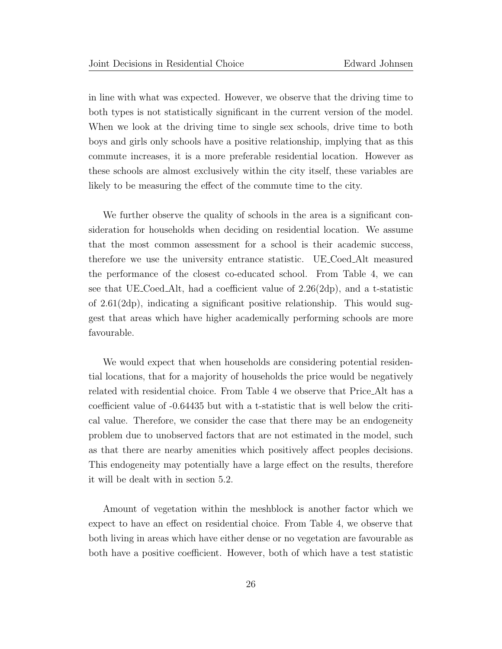in line with what was expected. However, we observe that the driving time to both types is not statistically significant in the current version of the model. When we look at the driving time to single sex schools, drive time to both boys and girls only schools have a positive relationship, implying that as this commute increases, it is a more preferable residential location. However as these schools are almost exclusively within the city itself, these variables are likely to be measuring the effect of the commute time to the city.

We further observe the quality of schools in the area is a significant consideration for households when deciding on residential location. We assume that the most common assessment for a school is their academic success, therefore we use the university entrance statistic. UE Coed Alt measured the performance of the closest co-educated school. From Table 4, we can see that UE Coed Alt, had a coefficient value of 2.26(2dp), and a t-statistic of 2.61(2dp), indicating a significant positive relationship. This would suggest that areas which have higher academically performing schools are more favourable.

We would expect that when households are considering potential residential locations, that for a majority of households the price would be negatively related with residential choice. From Table 4 we observe that Price Alt has a coefficient value of -0.64435 but with a t-statistic that is well below the critical value. Therefore, we consider the case that there may be an endogeneity problem due to unobserved factors that are not estimated in the model, such as that there are nearby amenities which positively affect peoples decisions. This endogeneity may potentially have a large effect on the results, therefore it will be dealt with in section 5.2.

Amount of vegetation within the meshblock is another factor which we expect to have an effect on residential choice. From Table 4, we observe that both living in areas which have either dense or no vegetation are favourable as both have a positive coefficient. However, both of which have a test statistic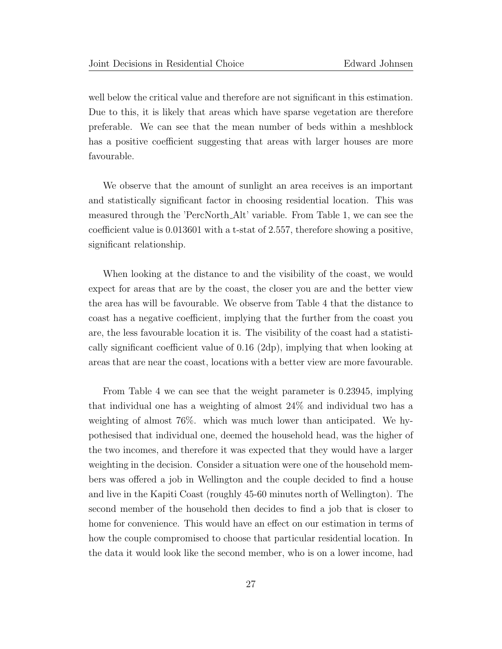well below the critical value and therefore are not significant in this estimation. Due to this, it is likely that areas which have sparse vegetation are therefore preferable. We can see that the mean number of beds within a meshblock has a positive coefficient suggesting that areas with larger houses are more favourable.

We observe that the amount of sunlight an area receives is an important and statistically significant factor in choosing residential location. This was measured through the 'PercNorth Alt' variable. From Table 1, we can see the coefficient value is 0.013601 with a t-stat of 2.557, therefore showing a positive, significant relationship.

When looking at the distance to and the visibility of the coast, we would expect for areas that are by the coast, the closer you are and the better view the area has will be favourable. We observe from Table 4 that the distance to coast has a negative coefficient, implying that the further from the coast you are, the less favourable location it is. The visibility of the coast had a statistically significant coefficient value of 0.16 (2dp), implying that when looking at areas that are near the coast, locations with a better view are more favourable.

From Table 4 we can see that the weight parameter is 0.23945, implying that individual one has a weighting of almost 24% and individual two has a weighting of almost 76%. which was much lower than anticipated. We hypothesised that individual one, deemed the household head, was the higher of the two incomes, and therefore it was expected that they would have a larger weighting in the decision. Consider a situation were one of the household members was offered a job in Wellington and the couple decided to find a house and live in the Kapiti Coast (roughly 45-60 minutes north of Wellington). The second member of the household then decides to find a job that is closer to home for convenience. This would have an effect on our estimation in terms of how the couple compromised to choose that particular residential location. In the data it would look like the second member, who is on a lower income, had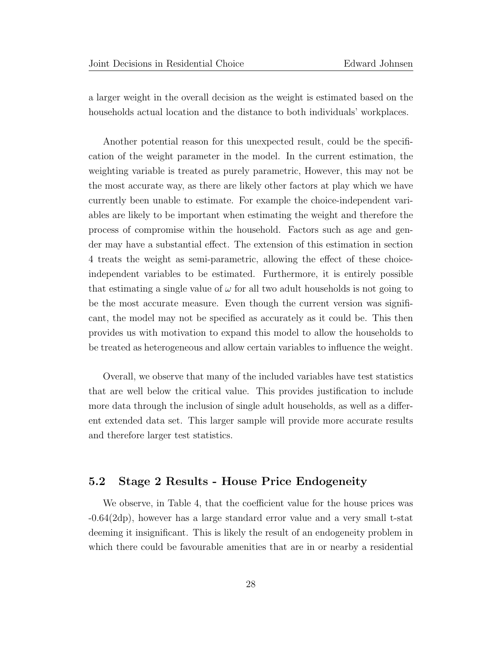a larger weight in the overall decision as the weight is estimated based on the households actual location and the distance to both individuals' workplaces.

Another potential reason for this unexpected result, could be the specification of the weight parameter in the model. In the current estimation, the weighting variable is treated as purely parametric, However, this may not be the most accurate way, as there are likely other factors at play which we have currently been unable to estimate. For example the choice-independent variables are likely to be important when estimating the weight and therefore the process of compromise within the household. Factors such as age and gender may have a substantial effect. The extension of this estimation in section 4 treats the weight as semi-parametric, allowing the effect of these choiceindependent variables to be estimated. Furthermore, it is entirely possible that estimating a single value of  $\omega$  for all two adult households is not going to be the most accurate measure. Even though the current version was significant, the model may not be specified as accurately as it could be. This then provides us with motivation to expand this model to allow the households to be treated as heterogeneous and allow certain variables to influence the weight.

Overall, we observe that many of the included variables have test statistics that are well below the critical value. This provides justification to include more data through the inclusion of single adult households, as well as a different extended data set. This larger sample will provide more accurate results and therefore larger test statistics.

#### 5.2 Stage 2 Results - House Price Endogeneity

We observe, in Table 4, that the coefficient value for the house prices was -0.64(2dp), however has a large standard error value and a very small t-stat deeming it insignificant. This is likely the result of an endogeneity problem in which there could be favourable amenities that are in or nearby a residential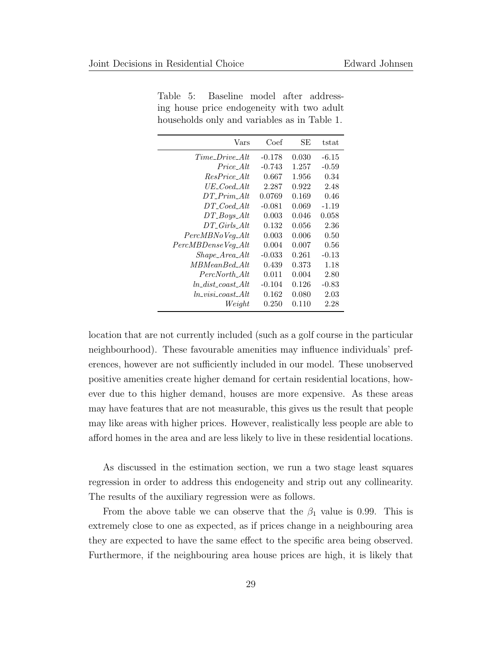| Vars                | Coef     | SE    | tstat   |
|---------------------|----------|-------|---------|
| $Time\_Dirive\_Alt$ | $-0.178$ | 0.030 | $-6.15$ |
| $Price\_Alt$        | $-0.743$ | 1.257 | $-0.59$ |
| $ResPrice\_Alt$     | 0.667    | 1.956 | 0.34    |
| $UE\_Coed\_Alt$     | 2.287    | 0.922 | 2.48    |
| DT Prim Alt         | 0.0769   | 0.169 | 0.46    |
| $DT\_Coed\_Alt$     | $-0.081$ | 0.069 | $-1.19$ |
| $DT_Boys\_Alt$      | 0.003    | 0.046 | 0.058   |
| $DT_Girls\_Alt$     | 0.132    | 0.056 | 2.36    |
| $PercMBNoVeg\_Alt$  | 0.003    | 0.006 | 0.50    |
| PercMBDenseVeg_Alt  | 0.004    | 0.007 | 0.56    |
| $Shape\_Area\_Alt$  | $-0.033$ | 0.261 | $-0.13$ |
| MBMeanBed Alt       | 0.439    | 0.373 | 1.18    |
| PercNorth Alt       | 0.011    | 0.004 | 2.80    |
| ln dist coast Alt   | $-0.104$ | 0.126 | $-0.83$ |
| ln visi coast Alt   | 0.162    | 0.080 | 2.03    |
| Weight              | 0.250    | 0.110 | 2.28    |

Table 5: Baseline model after addressing house price endogeneity with two adult households only and variables as in Table 1.

location that are not currently included (such as a golf course in the particular neighbourhood). These favourable amenities may influence individuals' preferences, however are not sufficiently included in our model. These unobserved positive amenities create higher demand for certain residential locations, however due to this higher demand, houses are more expensive. As these areas may have features that are not measurable, this gives us the result that people may like areas with higher prices. However, realistically less people are able to afford homes in the area and are less likely to live in these residential locations.

As discussed in the estimation section, we run a two stage least squares regression in order to address this endogeneity and strip out any collinearity. The results of the auxiliary regression were as follows.

From the above table we can observe that the  $\beta_1$  value is 0.99. This is extremely close to one as expected, as if prices change in a neighbouring area they are expected to have the same effect to the specific area being observed. Furthermore, if the neighbouring area house prices are high, it is likely that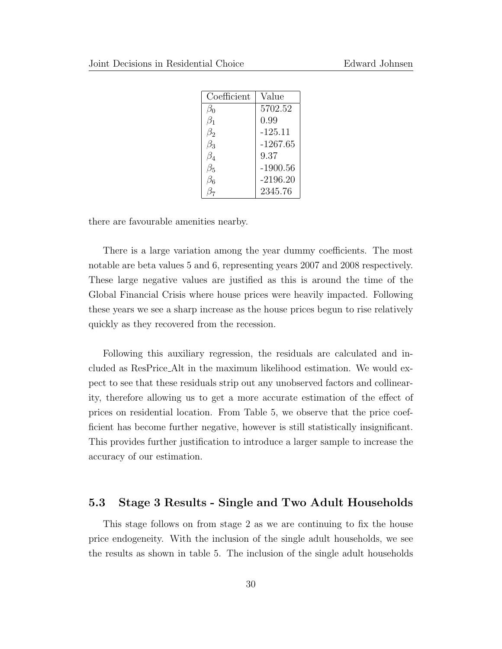| Coefficient | Value      |
|-------------|------------|
| ßο          | 5702.52    |
| $\beta_1$   | 0.99       |
| $\beta_2$   | -125.11    |
| $\beta_3$   | $-1267.65$ |
| $\beta_4$   | 9.37       |
| $\beta_5$   | $-1900.56$ |
| Зg          | $-2196.20$ |
|             | 2345.76    |

there are favourable amenities nearby.

There is a large variation among the year dummy coefficients. The most notable are beta values 5 and 6, representing years 2007 and 2008 respectively. These large negative values are justified as this is around the time of the Global Financial Crisis where house prices were heavily impacted. Following these years we see a sharp increase as the house prices begun to rise relatively quickly as they recovered from the recession.

Following this auxiliary regression, the residuals are calculated and included as ResPrice Alt in the maximum likelihood estimation. We would expect to see that these residuals strip out any unobserved factors and collinearity, therefore allowing us to get a more accurate estimation of the effect of prices on residential location. From Table 5, we observe that the price coefficient has become further negative, however is still statistically insignificant. This provides further justification to introduce a larger sample to increase the accuracy of our estimation.

#### 5.3 Stage 3 Results - Single and Two Adult Households

This stage follows on from stage 2 as we are continuing to fix the house price endogeneity. With the inclusion of the single adult households, we see the results as shown in table 5. The inclusion of the single adult households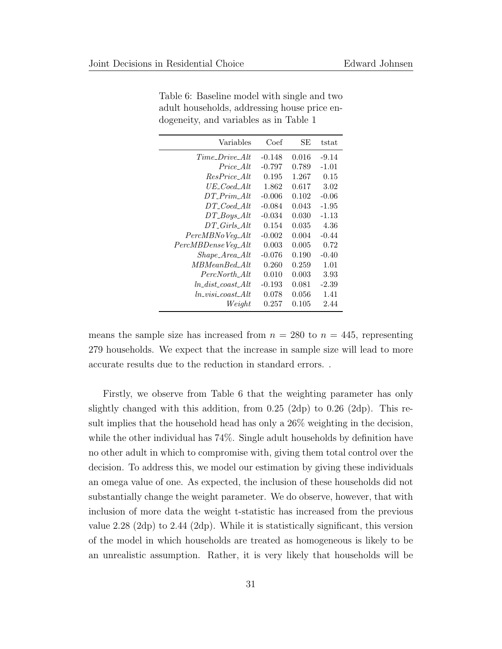| Variables                    | Coef     | SЕ    | tstat   |
|------------------------------|----------|-------|---------|
| $Time\_Dirive\_Alt$          | $-0.148$ | 0.016 | $-9.14$ |
| Price_Alt                    | $-0.797$ | 0.789 | $-1.01$ |
| $ResPrice\_Alt$              | 0.195    | 1.267 | 0.15    |
| $UE\_Coed\_Alt$              | 1.862    | 0.617 | 3.02    |
| $DT\_Prim\_Alt$              | $-0.006$ | 0.102 | $-0.06$ |
| $DT\_Coed\_Alt$              | $-0.084$ | 0.043 | $-1.95$ |
| $DT_Boys\_Alt$               | $-0.034$ | 0.030 | $-1.13$ |
| $DT_{\mathcal{L}}$ Girls_Alt | 0.154    | 0.035 | 4.36    |
| $PercMBNo\,Veg\_Alt$         | $-0.002$ | 0.004 | $-0.44$ |
| PercMBDenseVeg_Alt           | 0.003    | 0.005 | 0.72    |
| $Shape\_Area\_Alt$           | $-0.076$ | 0.190 | $-0.40$ |
| MBMeanBed Alt                | 0.260    | 0.259 | 1.01    |
| PercNorth_Alt                | 0.010    | 0.003 | 3.93    |
| ln dist coast Alt            | $-0.193$ | 0.081 | $-2.39$ |
| ln visi coast Alt            | 0.078    | 0.056 | 1.41    |
| Weight                       | 0.257    | 0.105 | 2.44    |

Table 6: Baseline model with single and two adult households, addressing house price endogeneity, and variables as in Table 1

means the sample size has increased from  $n = 280$  to  $n = 445$ , representing 279 households. We expect that the increase in sample size will lead to more accurate results due to the reduction in standard errors. .

Firstly, we observe from Table 6 that the weighting parameter has only slightly changed with this addition, from  $0.25$  (2dp) to  $0.26$  (2dp). This result implies that the household head has only a 26% weighting in the decision, while the other individual has 74%. Single adult households by definition have no other adult in which to compromise with, giving them total control over the decision. To address this, we model our estimation by giving these individuals an omega value of one. As expected, the inclusion of these households did not substantially change the weight parameter. We do observe, however, that with inclusion of more data the weight t-statistic has increased from the previous value 2.28 (2dp) to 2.44 (2dp). While it is statistically significant, this version of the model in which households are treated as homogeneous is likely to be an unrealistic assumption. Rather, it is very likely that households will be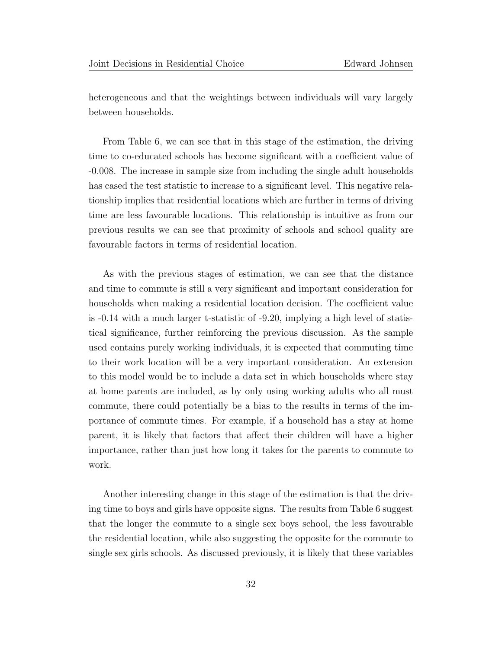heterogeneous and that the weightings between individuals will vary largely between households.

From Table 6, we can see that in this stage of the estimation, the driving time to co-educated schools has become significant with a coefficient value of -0.008. The increase in sample size from including the single adult households has cased the test statistic to increase to a significant level. This negative relationship implies that residential locations which are further in terms of driving time are less favourable locations. This relationship is intuitive as from our previous results we can see that proximity of schools and school quality are favourable factors in terms of residential location.

As with the previous stages of estimation, we can see that the distance and time to commute is still a very significant and important consideration for households when making a residential location decision. The coefficient value is -0.14 with a much larger t-statistic of -9.20, implying a high level of statistical significance, further reinforcing the previous discussion. As the sample used contains purely working individuals, it is expected that commuting time to their work location will be a very important consideration. An extension to this model would be to include a data set in which households where stay at home parents are included, as by only using working adults who all must commute, there could potentially be a bias to the results in terms of the importance of commute times. For example, if a household has a stay at home parent, it is likely that factors that affect their children will have a higher importance, rather than just how long it takes for the parents to commute to work.

Another interesting change in this stage of the estimation is that the driving time to boys and girls have opposite signs. The results from Table 6 suggest that the longer the commute to a single sex boys school, the less favourable the residential location, while also suggesting the opposite for the commute to single sex girls schools. As discussed previously, it is likely that these variables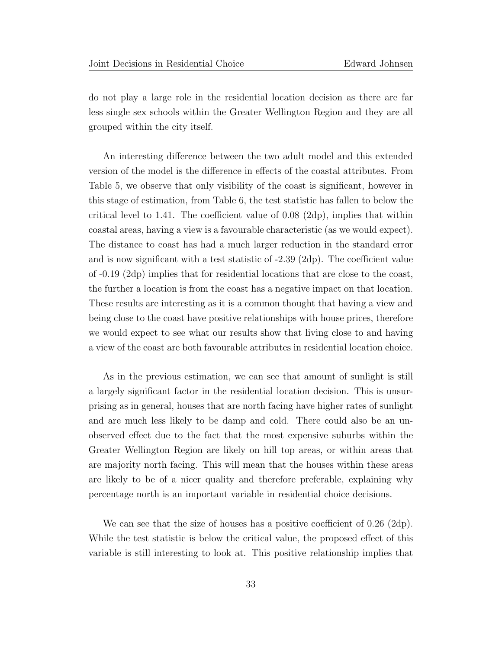do not play a large role in the residential location decision as there are far less single sex schools within the Greater Wellington Region and they are all grouped within the city itself.

An interesting difference between the two adult model and this extended version of the model is the difference in effects of the coastal attributes. From Table 5, we observe that only visibility of the coast is significant, however in this stage of estimation, from Table 6, the test statistic has fallen to below the critical level to 1.41. The coefficient value of 0.08 (2dp), implies that within coastal areas, having a view is a favourable characteristic (as we would expect). The distance to coast has had a much larger reduction in the standard error and is now significant with a test statistic of -2.39 (2dp). The coefficient value of -0.19 (2dp) implies that for residential locations that are close to the coast, the further a location is from the coast has a negative impact on that location. These results are interesting as it is a common thought that having a view and being close to the coast have positive relationships with house prices, therefore we would expect to see what our results show that living close to and having a view of the coast are both favourable attributes in residential location choice.

As in the previous estimation, we can see that amount of sunlight is still a largely significant factor in the residential location decision. This is unsurprising as in general, houses that are north facing have higher rates of sunlight and are much less likely to be damp and cold. There could also be an unobserved effect due to the fact that the most expensive suburbs within the Greater Wellington Region are likely on hill top areas, or within areas that are majority north facing. This will mean that the houses within these areas are likely to be of a nicer quality and therefore preferable, explaining why percentage north is an important variable in residential choice decisions.

We can see that the size of houses has a positive coefficient of 0.26 (2dp). While the test statistic is below the critical value, the proposed effect of this variable is still interesting to look at. This positive relationship implies that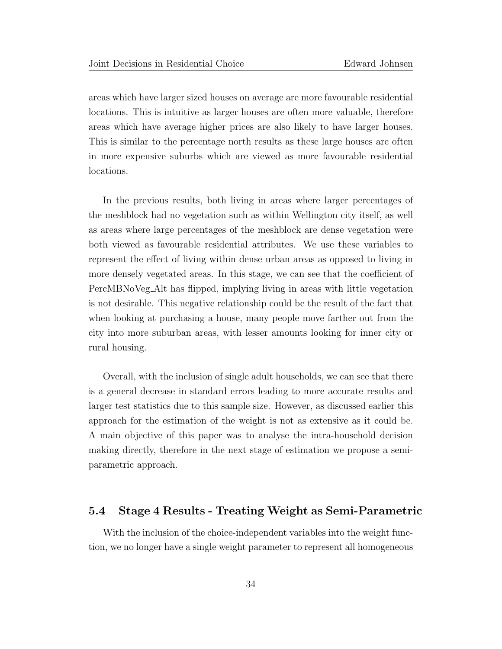areas which have larger sized houses on average are more favourable residential locations. This is intuitive as larger houses are often more valuable, therefore areas which have average higher prices are also likely to have larger houses. This is similar to the percentage north results as these large houses are often in more expensive suburbs which are viewed as more favourable residential locations.

In the previous results, both living in areas where larger percentages of the meshblock had no vegetation such as within Wellington city itself, as well as areas where large percentages of the meshblock are dense vegetation were both viewed as favourable residential attributes. We use these variables to represent the effect of living within dense urban areas as opposed to living in more densely vegetated areas. In this stage, we can see that the coefficient of PercMBNoVeg Alt has flipped, implying living in areas with little vegetation is not desirable. This negative relationship could be the result of the fact that when looking at purchasing a house, many people move farther out from the city into more suburban areas, with lesser amounts looking for inner city or rural housing.

Overall, with the inclusion of single adult households, we can see that there is a general decrease in standard errors leading to more accurate results and larger test statistics due to this sample size. However, as discussed earlier this approach for the estimation of the weight is not as extensive as it could be. A main objective of this paper was to analyse the intra-household decision making directly, therefore in the next stage of estimation we propose a semiparametric approach.

#### 5.4 Stage 4 Results - Treating Weight as Semi-Parametric

With the inclusion of the choice-independent variables into the weight function, we no longer have a single weight parameter to represent all homogeneous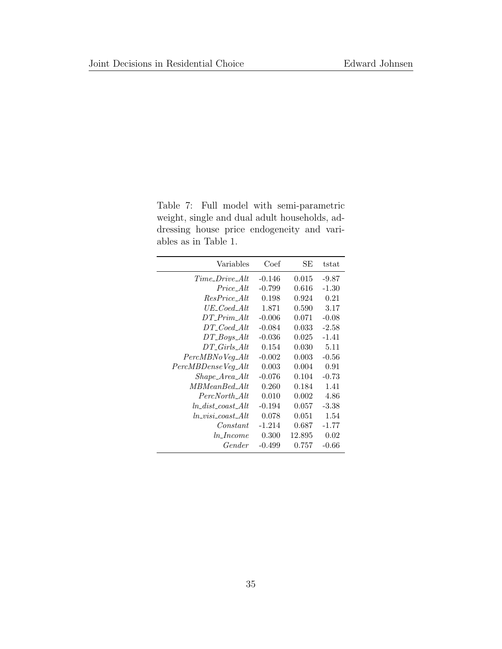Table 7: Full model with semi-parametric weight, single and dual adult households, addressing house price endogeneity and variables as in Table 1.

| Variables              | Coef     | SE     | tstat   |
|------------------------|----------|--------|---------|
| Time Drive Alt         | $-0.146$ | 0.015  | -9.87   |
| <i>Price Alt</i>       | $-0.799$ | 0.616  | $-1.30$ |
| ResPrice_Alt           | 0.198    | 0.924  | 0.21    |
| $UE\_Coed\_Alt$        | 1.871    | 0.590  | 3.17    |
| $DT\_Prim\_Alt$        | $-0.006$ | 0.071  | $-0.08$ |
| $DT\_Coed\_Alt$        | $-0.084$ | 0.033  | $-2.58$ |
| $DT_Boys\_Alt$         | $-0.036$ | 0.025  | $-1.41$ |
| DT Girls Alt           | 0.154    | 0.030  | 5.11    |
| $PercMBNo Veg\_Alt$    | $-0.002$ | 0.003  | $-0.56$ |
| PercMBDenseVeg_Alt     | 0.003    | 0.004  | 0.91    |
| $Shape\_Area\_Alt$     | $-0.076$ | 0.104  | $-0.73$ |
| $MBMeanBed\_Alt$       | 0.260    | 0.184  | 1.41    |
| PercNorth_Alt          | 0.010    | 0.002  | 4.86    |
| $ln\_dist\_cost\_Alt$  | $-0.194$ | 0.057  | $-3.38$ |
| $ln\_visi\_coast\_Alt$ | 0.078    | 0.051  | 1.54    |
| Constant               | $-1.214$ | 0.687  | $-1.77$ |
| $ln\_Income$           | 0.300    | 12.895 | 0.02    |
| Gender                 | $-0.499$ | 0.757  | $-0.66$ |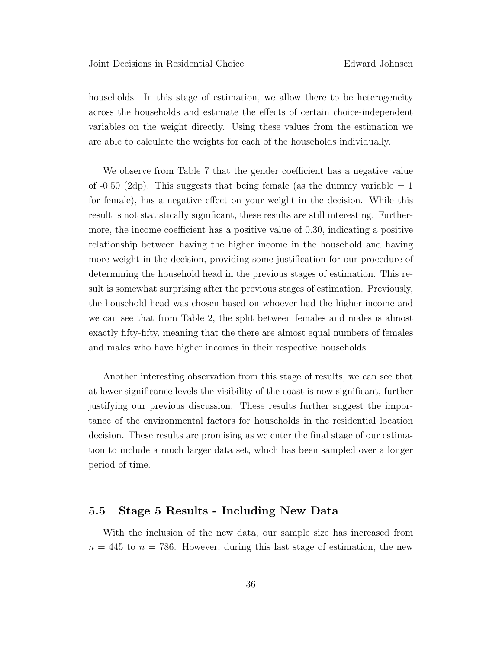households. In this stage of estimation, we allow there to be heterogeneity across the households and estimate the effects of certain choice-independent variables on the weight directly. Using these values from the estimation we are able to calculate the weights for each of the households individually.

We observe from Table 7 that the gender coefficient has a negative value of  $-0.50$  (2dp). This suggests that being female (as the dummy variable  $= 1$ for female), has a negative effect on your weight in the decision. While this result is not statistically significant, these results are still interesting. Furthermore, the income coefficient has a positive value of 0.30, indicating a positive relationship between having the higher income in the household and having more weight in the decision, providing some justification for our procedure of determining the household head in the previous stages of estimation. This result is somewhat surprising after the previous stages of estimation. Previously, the household head was chosen based on whoever had the higher income and we can see that from Table 2, the split between females and males is almost exactly fifty-fifty, meaning that the there are almost equal numbers of females and males who have higher incomes in their respective households.

Another interesting observation from this stage of results, we can see that at lower significance levels the visibility of the coast is now significant, further justifying our previous discussion. These results further suggest the importance of the environmental factors for households in the residential location decision. These results are promising as we enter the final stage of our estimation to include a much larger data set, which has been sampled over a longer period of time.

#### 5.5 Stage 5 Results - Including New Data

With the inclusion of the new data, our sample size has increased from  $n = 445$  to  $n = 786$ . However, during this last stage of estimation, the new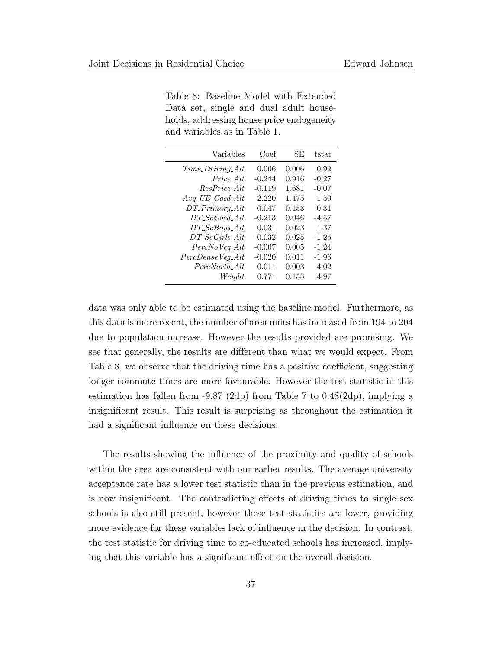| Variables                                                | Coef     | SE    | tstat   |
|----------------------------------------------------------|----------|-------|---------|
| $Time\_Diving\_Alt$                                      | 0.006    | 0.006 | 0.92    |
| Price Alt                                                | $-0.244$ | 0.916 | $-0.27$ |
| ResPrice_Alt                                             | $-0.119$ | 1.681 | $-0.07$ |
| $Avg$ <sub>-</sub> $UE$ <sub>-Coed</sub> <sub>-Alt</sub> | 2.220    | 1.475 | 1.50    |
| $DT\_Primary\_Alt$                                       | 0.047    | 0.153 | 0.31    |
| $DT\_SeCoed\_Alt$                                        | $-0.213$ | 0.046 | $-4.57$ |
| $DT\_SeBoys\_Alt$                                        | 0.031    | 0.023 | 1.37    |
| $DT\_SeGirls\_Alt$                                       | $-0.032$ | 0.025 | $-1.25$ |
| $PercNo Veg\_Alt$                                        | $-0.007$ | 0.005 | $-1.24$ |
| PercDenseVeg_Alt                                         | $-0.020$ | 0.011 | $-1.96$ |
| PercNorth Alt                                            | 0.011    | 0.003 | 4.02    |
| Weiaht                                                   | 0.771    | 0.155 | 4.97    |
|                                                          |          |       |         |

Table 8: Baseline Model with Extended Data set, single and dual adult households, addressing house price endogeneity and variables as in Table 1.

data was only able to be estimated using the baseline model. Furthermore, as this data is more recent, the number of area units has increased from 194 to 204 due to population increase. However the results provided are promising. We see that generally, the results are different than what we would expect. From Table 8, we observe that the driving time has a positive coefficient, suggesting longer commute times are more favourable. However the test statistic in this estimation has fallen from  $-9.87$  (2dp) from Table 7 to  $0.48(2dp)$ , implying a insignificant result. This result is surprising as throughout the estimation it had a significant influence on these decisions.

The results showing the influence of the proximity and quality of schools within the area are consistent with our earlier results. The average university acceptance rate has a lower test statistic than in the previous estimation, and is now insignificant. The contradicting effects of driving times to single sex schools is also still present, however these test statistics are lower, providing more evidence for these variables lack of influence in the decision. In contrast, the test statistic for driving time to co-educated schools has increased, implying that this variable has a significant effect on the overall decision.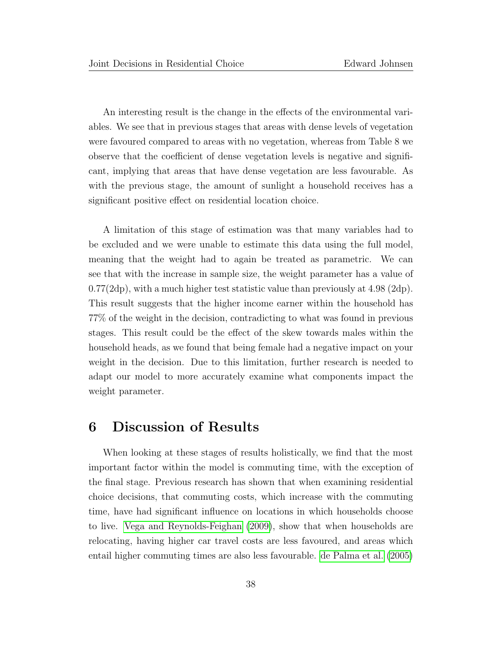An interesting result is the change in the effects of the environmental variables. We see that in previous stages that areas with dense levels of vegetation were favoured compared to areas with no vegetation, whereas from Table 8 we observe that the coefficient of dense vegetation levels is negative and significant, implying that areas that have dense vegetation are less favourable. As with the previous stage, the amount of sunlight a household receives has a significant positive effect on residential location choice.

A limitation of this stage of estimation was that many variables had to be excluded and we were unable to estimate this data using the full model, meaning that the weight had to again be treated as parametric. We can see that with the increase in sample size, the weight parameter has a value of  $0.77(2dp)$ , with a much higher test statistic value than previously at  $4.98$  ( $2dp$ ). This result suggests that the higher income earner within the household has 77% of the weight in the decision, contradicting to what was found in previous stages. This result could be the effect of the skew towards males within the household heads, as we found that being female had a negative impact on your weight in the decision. Due to this limitation, further research is needed to adapt our model to more accurately examine what components impact the weight parameter.

### 6 Discussion of Results

When looking at these stages of results holistically, we find that the most important factor within the model is commuting time, with the exception of the final stage. Previous research has shown that when examining residential choice decisions, that commuting costs, which increase with the commuting time, have had significant influence on locations in which households choose to live. [Vega and Reynolds-Feighan](#page-46-3) [\(2009\)](#page-46-3), show that when households are relocating, having higher car travel costs are less favoured, and areas which entail higher commuting times are also less favourable. [de Palma et al.](#page-45-6) [\(2005\)](#page-45-6)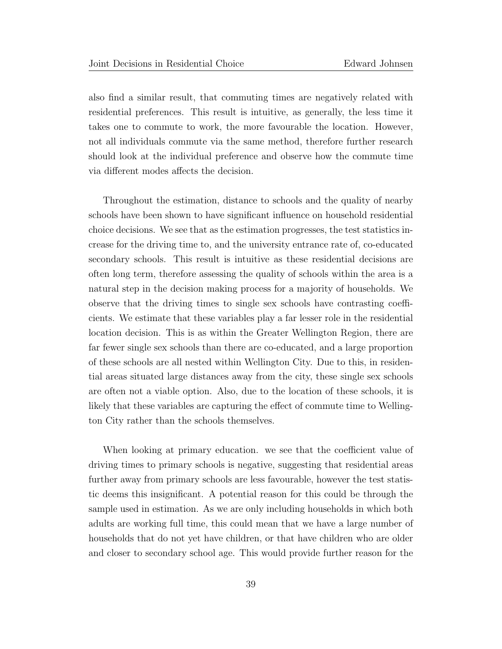also find a similar result, that commuting times are negatively related with residential preferences. This result is intuitive, as generally, the less time it takes one to commute to work, the more favourable the location. However, not all individuals commute via the same method, therefore further research should look at the individual preference and observe how the commute time via different modes affects the decision.

Throughout the estimation, distance to schools and the quality of nearby schools have been shown to have significant influence on household residential choice decisions. We see that as the estimation progresses, the test statistics increase for the driving time to, and the university entrance rate of, co-educated secondary schools. This result is intuitive as these residential decisions are often long term, therefore assessing the quality of schools within the area is a natural step in the decision making process for a majority of households. We observe that the driving times to single sex schools have contrasting coefficients. We estimate that these variables play a far lesser role in the residential location decision. This is as within the Greater Wellington Region, there are far fewer single sex schools than there are co-educated, and a large proportion of these schools are all nested within Wellington City. Due to this, in residential areas situated large distances away from the city, these single sex schools are often not a viable option. Also, due to the location of these schools, it is likely that these variables are capturing the effect of commute time to Wellington City rather than the schools themselves.

When looking at primary education. we see that the coefficient value of driving times to primary schools is negative, suggesting that residential areas further away from primary schools are less favourable, however the test statistic deems this insignificant. A potential reason for this could be through the sample used in estimation. As we are only including households in which both adults are working full time, this could mean that we have a large number of households that do not yet have children, or that have children who are older and closer to secondary school age. This would provide further reason for the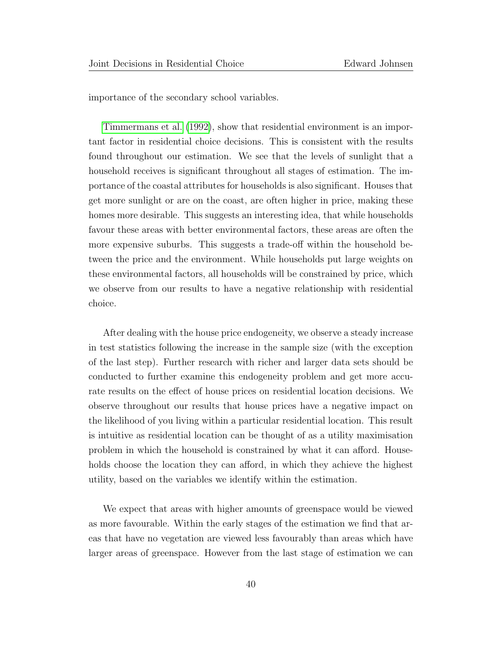importance of the secondary school variables.

[Timmermans et al.](#page-46-0) [\(1992\)](#page-46-0), show that residential environment is an important factor in residential choice decisions. This is consistent with the results found throughout our estimation. We see that the levels of sunlight that a household receives is significant throughout all stages of estimation. The importance of the coastal attributes for households is also significant. Houses that get more sunlight or are on the coast, are often higher in price, making these homes more desirable. This suggests an interesting idea, that while households favour these areas with better environmental factors, these areas are often the more expensive suburbs. This suggests a trade-off within the household between the price and the environment. While households put large weights on these environmental factors, all households will be constrained by price, which we observe from our results to have a negative relationship with residential choice.

After dealing with the house price endogeneity, we observe a steady increase in test statistics following the increase in the sample size (with the exception of the last step). Further research with richer and larger data sets should be conducted to further examine this endogeneity problem and get more accurate results on the effect of house prices on residential location decisions. We observe throughout our results that house prices have a negative impact on the likelihood of you living within a particular residential location. This result is intuitive as residential location can be thought of as a utility maximisation problem in which the household is constrained by what it can afford. Households choose the location they can afford, in which they achieve the highest utility, based on the variables we identify within the estimation.

We expect that areas with higher amounts of greenspace would be viewed as more favourable. Within the early stages of the estimation we find that areas that have no vegetation are viewed less favourably than areas which have larger areas of greenspace. However from the last stage of estimation we can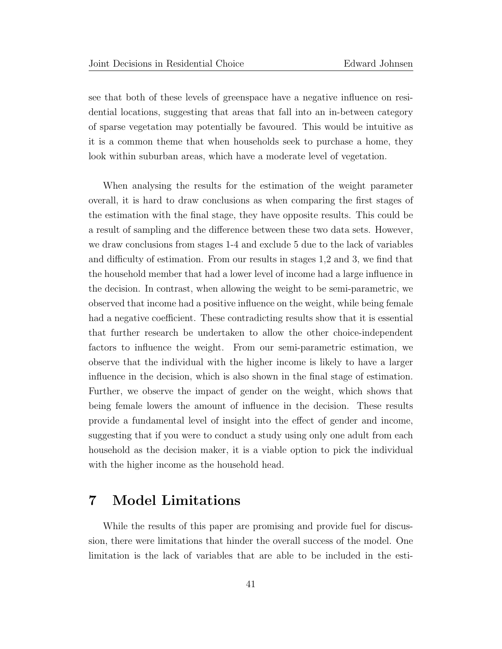see that both of these levels of greenspace have a negative influence on residential locations, suggesting that areas that fall into an in-between category of sparse vegetation may potentially be favoured. This would be intuitive as it is a common theme that when households seek to purchase a home, they look within suburban areas, which have a moderate level of vegetation.

When analysing the results for the estimation of the weight parameter overall, it is hard to draw conclusions as when comparing the first stages of the estimation with the final stage, they have opposite results. This could be a result of sampling and the difference between these two data sets. However, we draw conclusions from stages 1-4 and exclude 5 due to the lack of variables and difficulty of estimation. From our results in stages 1,2 and 3, we find that the household member that had a lower level of income had a large influence in the decision. In contrast, when allowing the weight to be semi-parametric, we observed that income had a positive influence on the weight, while being female had a negative coefficient. These contradicting results show that it is essential that further research be undertaken to allow the other choice-independent factors to influence the weight. From our semi-parametric estimation, we observe that the individual with the higher income is likely to have a larger influence in the decision, which is also shown in the final stage of estimation. Further, we observe the impact of gender on the weight, which shows that being female lowers the amount of influence in the decision. These results provide a fundamental level of insight into the effect of gender and income, suggesting that if you were to conduct a study using only one adult from each household as the decision maker, it is a viable option to pick the individual with the higher income as the household head.

# 7 Model Limitations

While the results of this paper are promising and provide fuel for discussion, there were limitations that hinder the overall success of the model. One limitation is the lack of variables that are able to be included in the esti-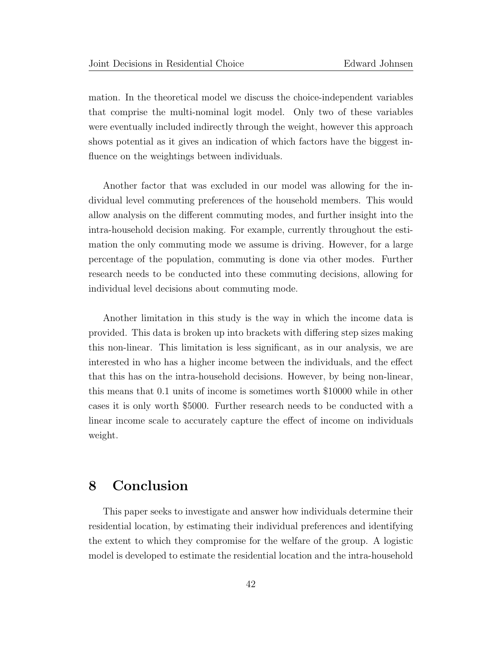mation. In the theoretical model we discuss the choice-independent variables that comprise the multi-nominal logit model. Only two of these variables were eventually included indirectly through the weight, however this approach shows potential as it gives an indication of which factors have the biggest influence on the weightings between individuals.

Another factor that was excluded in our model was allowing for the individual level commuting preferences of the household members. This would allow analysis on the different commuting modes, and further insight into the intra-household decision making. For example, currently throughout the estimation the only commuting mode we assume is driving. However, for a large percentage of the population, commuting is done via other modes. Further research needs to be conducted into these commuting decisions, allowing for individual level decisions about commuting mode.

Another limitation in this study is the way in which the income data is provided. This data is broken up into brackets with differing step sizes making this non-linear. This limitation is less significant, as in our analysis, we are interested in who has a higher income between the individuals, and the effect that this has on the intra-household decisions. However, by being non-linear, this means that 0.1 units of income is sometimes worth \$10000 while in other cases it is only worth \$5000. Further research needs to be conducted with a linear income scale to accurately capture the effect of income on individuals weight.

# 8 Conclusion

This paper seeks to investigate and answer how individuals determine their residential location, by estimating their individual preferences and identifying the extent to which they compromise for the welfare of the group. A logistic model is developed to estimate the residential location and the intra-household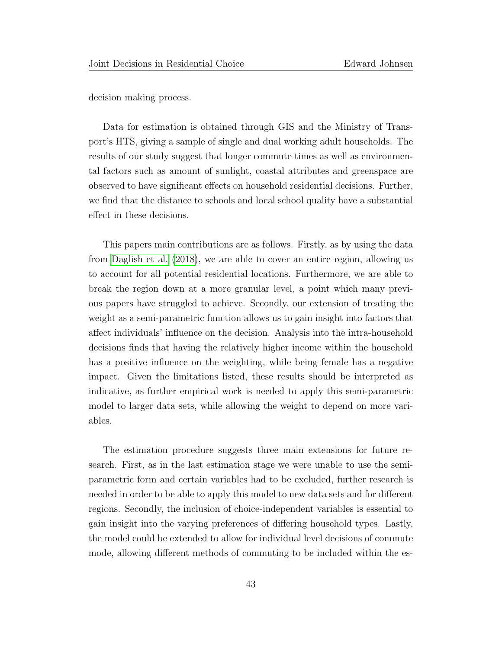decision making process.

Data for estimation is obtained through GIS and the Ministry of Transport's HTS, giving a sample of single and dual working adult households. The results of our study suggest that longer commute times as well as environmental factors such as amount of sunlight, coastal attributes and greenspace are observed to have significant effects on household residential decisions. Further, we find that the distance to schools and local school quality have a substantial effect in these decisions.

This papers main contributions are as follows. Firstly, as by using the data from [Daglish et al.](#page-44-6) [\(2018\)](#page-44-6), we are able to cover an entire region, allowing us to account for all potential residential locations. Furthermore, we are able to break the region down at a more granular level, a point which many previous papers have struggled to achieve. Secondly, our extension of treating the weight as a semi-parametric function allows us to gain insight into factors that affect individuals' influence on the decision. Analysis into the intra-household decisions finds that having the relatively higher income within the household has a positive influence on the weighting, while being female has a negative impact. Given the limitations listed, these results should be interpreted as indicative, as further empirical work is needed to apply this semi-parametric model to larger data sets, while allowing the weight to depend on more variables.

The estimation procedure suggests three main extensions for future research. First, as in the last estimation stage we were unable to use the semiparametric form and certain variables had to be excluded, further research is needed in order to be able to apply this model to new data sets and for different regions. Secondly, the inclusion of choice-independent variables is essential to gain insight into the varying preferences of differing household types. Lastly, the model could be extended to allow for individual level decisions of commute mode, allowing different methods of commuting to be included within the es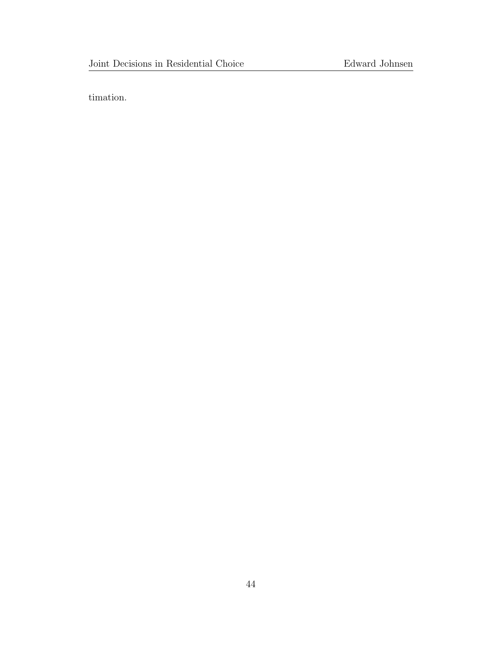timation.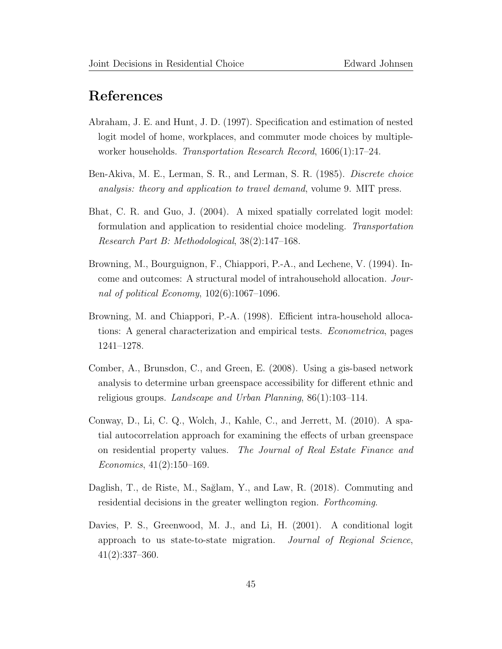# References

- <span id="page-44-0"></span>Abraham, J. E. and Hunt, J. D. (1997). Specification and estimation of nested logit model of home, workplaces, and commuter mode choices by multipleworker households. Transportation Research Record, 1606(1):17–24.
- <span id="page-44-2"></span>Ben-Akiva, M. E., Lerman, S. R., and Lerman, S. R. (1985). Discrete choice analysis: theory and application to travel demand, volume 9. MIT press.
- <span id="page-44-1"></span>Bhat, C. R. and Guo, J. (2004). A mixed spatially correlated logit model: formulation and application to residential choice modeling. Transportation Research Part B: Methodological, 38(2):147–168.
- <span id="page-44-4"></span>Browning, M., Bourguignon, F., Chiappori, P.-A., and Lechene, V. (1994). Income and outcomes: A structural model of intrahousehold allocation. Journal of political Economy, 102(6):1067–1096.
- <span id="page-44-5"></span>Browning, M. and Chiappori, P.-A. (1998). Efficient intra-household allocations: A general characterization and empirical tests. Econometrica, pages 1241–1278.
- <span id="page-44-7"></span>Comber, A., Brunsdon, C., and Green, E. (2008). Using a gis-based network analysis to determine urban greenspace accessibility for different ethnic and religious groups. Landscape and Urban Planning, 86(1):103–114.
- <span id="page-44-8"></span>Conway, D., Li, C. Q., Wolch, J., Kahle, C., and Jerrett, M. (2010). A spatial autocorrelation approach for examining the effects of urban greenspace on residential property values. The Journal of Real Estate Finance and Economics, 41(2):150–169.
- <span id="page-44-6"></span>Daglish, T., de Riste, M., Sağlam, Y., and Law, R. (2018). Commuting and residential decisions in the greater wellington region. Forthcoming.
- <span id="page-44-3"></span>Davies, P. S., Greenwood, M. J., and Li, H. (2001). A conditional logit approach to us state-to-state migration. Journal of Regional Science, 41(2):337–360.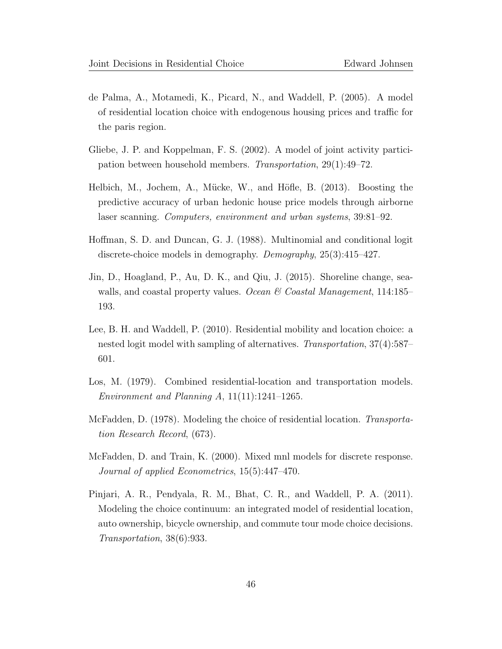- <span id="page-45-6"></span>de Palma, A., Motamedi, K., Picard, N., and Waddell, P. (2005). A model of residential location choice with endogenous housing prices and traffic for the paris region.
- <span id="page-45-0"></span>Gliebe, J. P. and Koppelman, F. S. (2002). A model of joint activity participation between household members. Transportation, 29(1):49–72.
- <span id="page-45-8"></span>Helbich, M., Jochem, A., Mücke, W., and Höfle, B. (2013). Boosting the predictive accuracy of urban hedonic house price models through airborne laser scanning. Computers, environment and urban systems, 39:81–92.
- <span id="page-45-5"></span>Hoffman, S. D. and Duncan, G. J. (1988). Multinomial and conditional logit discrete-choice models in demography. Demography, 25(3):415–427.
- <span id="page-45-9"></span>Jin, D., Hoagland, P., Au, D. K., and Qiu, J. (2015). Shoreline change, seawalls, and coastal property values. Ocean & Coastal Management, 114:185– 193.
- <span id="page-45-4"></span>Lee, B. H. and Waddell, P. (2010). Residential mobility and location choice: a nested logit model with sampling of alternatives. Transportation, 37(4):587– 601.
- <span id="page-45-7"></span>Los, M. (1979). Combined residential-location and transportation models. Environment and Planning A,  $11(11):1241-1265$ .
- <span id="page-45-2"></span>McFadden, D. (1978). Modeling the choice of residential location. Transportation Research Record, (673).
- <span id="page-45-3"></span>McFadden, D. and Train, K. (2000). Mixed mnl models for discrete response. Journal of applied Econometrics, 15(5):447–470.
- <span id="page-45-1"></span>Pinjari, A. R., Pendyala, R. M., Bhat, C. R., and Waddell, P. A. (2011). Modeling the choice continuum: an integrated model of residential location, auto ownership, bicycle ownership, and commute tour mode choice decisions. Transportation, 38(6):933.